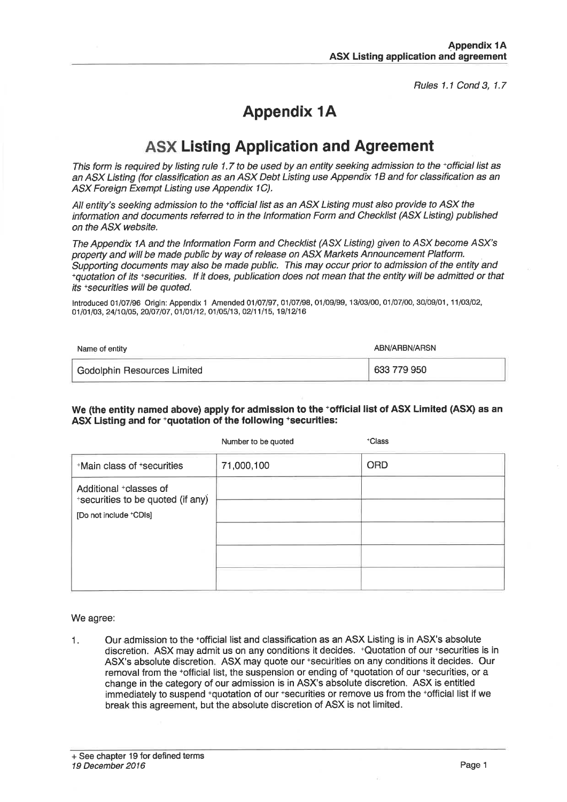Rules 1.1 Cond 3. 1.7

# **Appendix 1A**

## **ASX Listing Application and Agreement**

This form is required by listing rule 1.7 to be used by an entity seeking admission to the +official list as an ASX Listing (for classification as an ASX Debt Listing use Appendix 1B and for classification as an ASX Foreian Exempt Listing use Appendix 1C).

All entity's seeking admission to the +official list as an ASX Listing must also provide to ASX the information and documents referred to in the Information Form and Checklist (ASX Listing) published on the ASX website.

The Appendix 1A and the Information Form and Checklist (ASX Listing) given to ASX become ASX's property and will be made public by way of release on ASX Markets Announcement Platform. Supporting documents may also be made public. This may occur prior to admission of the entity and +quotation of its +securities. If it does, publication does not mean that the entity will be admitted or that its +securities will be quoted.

Introduced 01/07/96 Origin: Appendix 1 Amended 01/07/97, 01/07/98, 01/09/99, 13/03/00, 01/07/00, 30/09/01, 11/03/02, 01/01/03, 24/10/05, 20/07/07, 01/01/12, 01/05/13, 02/11/15, 19/12/16

| Name of entity              | ABN/ARBN/ARSN |
|-----------------------------|---------------|
| Godolphin Resources Limited | 633 779 950   |

### We (the entity named above) apply for admission to the \*official list of ASX Limited (ASX) as an ASX Listing and for \*quotation of the following \*securities:

|                                                                                       | Number to be quoted | <sup>+</sup> Class |
|---------------------------------------------------------------------------------------|---------------------|--------------------|
| *Main class of *securities                                                            | 71,000,100          | <b>ORD</b>         |
| Additional +classes of<br>*securities to be quoted (if any)<br>[Do not include *CDIs] |                     |                    |

We agree:

Our admission to the +official list and classification as an ASX Listing is in ASX's absolute  $1.$ discretion. ASX may admit us on any conditions it decides. +Quotation of our +securities is in ASX's absolute discretion. ASX may quote our 'securities on any conditions it decides. Our removal from the +official list, the suspension or ending of +quotation of our +securities, or a change in the category of our admission is in ASX's absolute discretion. ASX is entitled immediately to suspend +quotation of our +securities or remove us from the +official list if we break this agreement, but the absolute discretion of ASX is not limited.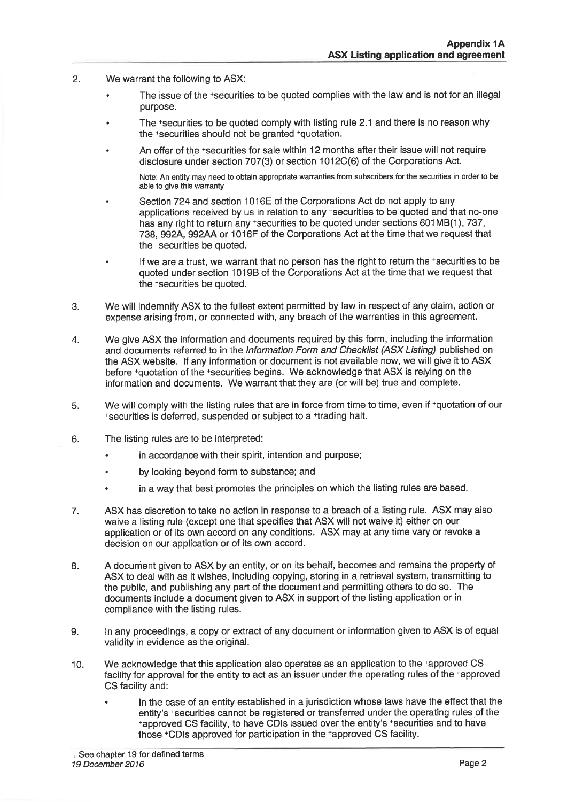- $2.$ We warrant the following to ASX:
	- The issue of the +securities to be quoted complies with the law and is not for an illegal purpose.
	- The +securities to be guoted comply with listing rule 2.1 and there is no reason why the +securities should not be granted +quotation.
	- An offer of the +securities for sale within 12 months after their issue will not require disclosure under section 707(3) or section 1012C(6) of the Corporations Act.

Note: An entity may need to obtain appropriate warranties from subscribers for the securities in order to be able to give this warranty

- Section 724 and section 1016E of the Corporations Act do not apply to any applications received by us in relation to any +securities to be quoted and that no-one has any right to return any \*securities to be quoted under sections 601MB(1), 737, 738, 992A, 992AA or 1016F of the Corporations Act at the time that we request that the +securities be quoted.
- If we are a trust, we warrant that no person has the right to return the +securities to be quoted under section 1019B of the Corporations Act at the time that we request that the +securities be quoted.
- We will indemnify ASX to the fullest extent permitted by law in respect of any claim, action or 3. expense arising from, or connected with, any breach of the warranties in this agreement.
- We give ASX the information and documents required by this form, including the information 4. and documents referred to in the Information Form and Checklist (ASX Listing) published on the ASX website. If any information or document is not available now, we will give it to ASX before +quotation of the +securities begins. We acknowledge that ASX is relying on the information and documents. We warrant that they are (or will be) true and complete.
- We will comply with the listing rules that are in force from time to time, even if \*quotation of our 5. \*securities is deferred, suspended or subject to a \*trading halt.
- 6. The listing rules are to be interpreted:
	- in accordance with their spirit, intention and purpose;
	- by looking beyond form to substance; and
	- in a way that best promotes the principles on which the listing rules are based.
- ASX has discretion to take no action in response to a breach of a listing rule. ASX may also  $7<sub>1</sub>$ waive a listing rule (except one that specifies that ASX will not waive it) either on our application or of its own accord on any conditions. ASX may at any time vary or revoke a decision on our application or of its own accord.
- A document given to ASX by an entity, or on its behalf, becomes and remains the property of 8. ASX to deal with as it wishes, including copying, storing in a retrieval system, transmitting to the public, and publishing any part of the document and permitting others to do so. The documents include a document given to ASX in support of the listing application or in compliance with the listing rules.
- In any proceedings, a copy or extract of any document or information given to ASX is of equal 9. validity in evidence as the original.
- We acknowledge that this application also operates as an application to the +approved CS  $10.$ facility for approval for the entity to act as an issuer under the operating rules of the +approved CS facility and:
	- In the case of an entity established in a jurisdiction whose laws have the effect that the entity's +securities cannot be registered or transferred under the operating rules of the +approved CS facility, to have CDIs issued over the entity's +securities and to have those +CDIs approved for participation in the +approved CS facility.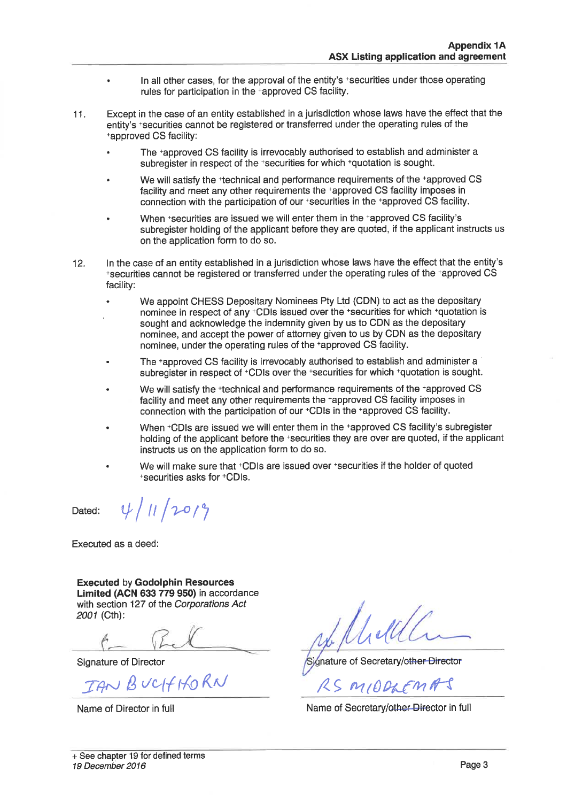- In all other cases, for the approval of the entity's +securities under those operating rules for participation in the +approved CS facility.
- Except in the case of an entity established in a jurisdiction whose laws have the effect that the  $11.$ entity's \*securities cannot be registered or transferred under the operating rules of the +approved CS facility:
	- The +approved CS facility is irrevocably authorised to establish and administer a subregister in respect of the +securities for which +quotation is sought.
	- We will satisfy the +technical and performance requirements of the +approved CS facility and meet any other requirements the +approved CS facility imposes in connection with the participation of our +securities in the +approved CS facility.
	- When \*securities are issued we will enter them in the \*approved CS facility's subregister holding of the applicant before they are quoted, if the applicant instructs us on the application form to do so.
- In the case of an entity established in a jurisdiction whose laws have the effect that the entity's  $12.$ +securities cannot be registered or transferred under the operating rules of the +approved CS facility:
	- We appoint CHESS Depositary Nominees Pty Ltd (CDN) to act as the depositary nominee in respect of any +CDIs issued over the +securities for which +quotation is sought and acknowledge the indemnity given by us to CDN as the depositary nominee, and accept the power of attorney given to us by CDN as the depositary nominee, under the operating rules of the +approved CS facility.
	- The +approved CS facility is irrevocably authorised to establish and administer a subregister in respect of +CDIs over the +securities for which +quotation is sought.
	- We will satisfy the +technical and performance requirements of the +approved CS facility and meet any other requirements the +approved CS facility imposes in connection with the participation of our +CDIs in the +approved CS facility.
	- When +CDIs are issued we will enter them in the +approved CS facility's subregister holding of the applicant before the +securities they are over are quoted, if the applicant instructs us on the application form to do so.
	- We will make sure that +CDIs are issued over +securities if the holder of quoted \*securities asks for \*CDIs.

 $111/2019$ Dated:

Executed as a deed:

**Executed by Godolphin Resources** Limited (ACN 633 779 950) in accordance with section 127 of the Corporations Act 2001 (Cth):

**Signature of Director** 

BUCHHORN

Name of Director in full

 $ell$ 

nature of Secretary/other-Director

 $RS$   $MIDOL$ 

Name of Secretary/other Director in full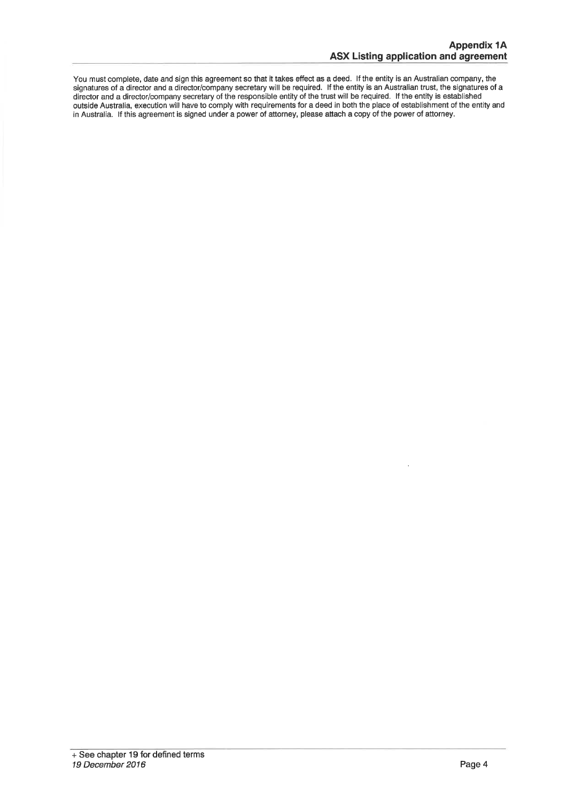You must complete, date and sign this agreement so that it takes effect as a deed. If the entity is an Australian company, the signatures of a director and a director/company secretary will be required. If the entity is an outside Australia, execution will have to comply with requirements for a deed in both the place of establishment of the entity and<br>in Australia. If this agreement is signed under a power of attorney, please attach a copy o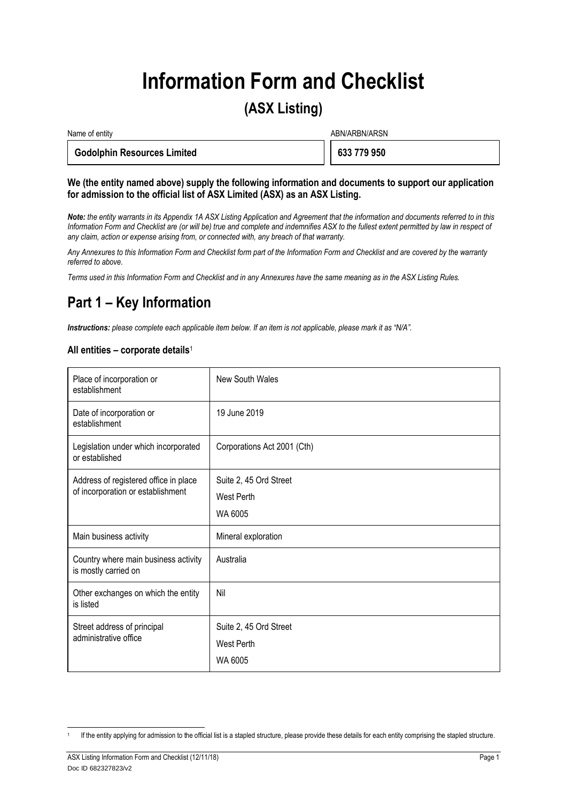# **Information Form and Checklist**

## **(ASX Listing)**

| Name of entity                     | ABN/ARBN/ARSN |
|------------------------------------|---------------|
| <b>Godolphin Resources Limited</b> | 633 779 950   |

### **We (the entity named above) supply the following information and documents to support our application for admission to the official list of ASX Limited (ASX) as an ASX Listing.**

*Note: the entity warrants in its Appendix 1A ASX Listing Application and Agreement that the information and documents referred to in this Information Form and Checklist are (or will be) true and complete and indemnifies ASX to the fullest extent permitted by law in respect of any claim, action or expense arising from, or connected with, any breach of that warranty.*

*Any Annexures to this Information Form and Checklist form part of the Information Form and Checklist and are covered by the warranty referred to above.*

*Terms used in this Information Form and Checklist and in any Annexures have the same meaning as in the ASX Listing Rules.*

# **Part 1 – Key Information**

*Instructions: please complete each applicable item below. If an item is not applicable, please mark it as "N/A".*

### **All entities – corporate details**<sup>1</sup>

| Place of incorporation or<br>establishment                                 | New South Wales                                 |
|----------------------------------------------------------------------------|-------------------------------------------------|
| Date of incorporation or<br>establishment                                  | 19 June 2019                                    |
| Legislation under which incorporated<br>or established                     | Corporations Act 2001 (Cth)                     |
| Address of registered office in place<br>of incorporation or establishment | Suite 2, 45 Ord Street<br>West Perth<br>WA 6005 |
| Main business activity                                                     | Mineral exploration                             |
| Country where main business activity<br>is mostly carried on               | Australia                                       |
| Other exchanges on which the entity<br>is listed                           | Nil                                             |
| Street address of principal<br>administrative office                       | Suite 2, 45 Ord Street<br>West Perth<br>WA 6005 |

<sup>1</sup> 1 If the entity applying for admission to the official list is a stapled structure, please provide these details for each entity comprising the stapled structure.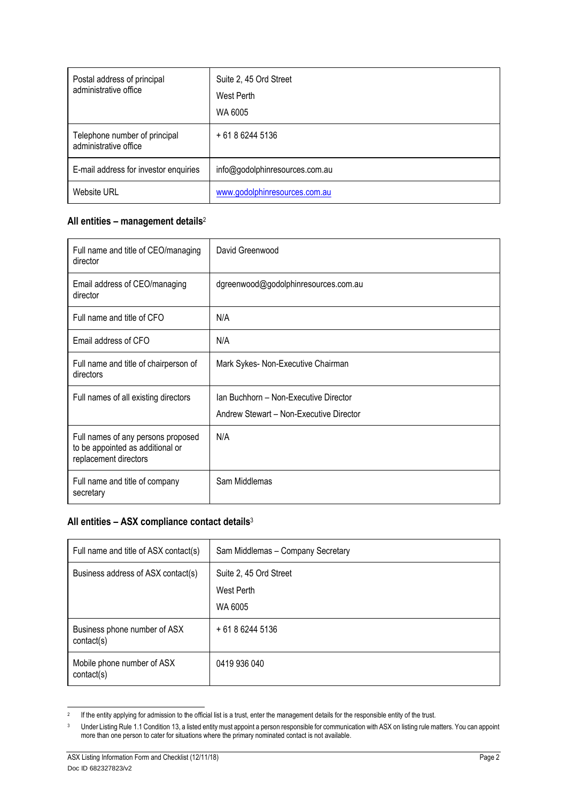| Postal address of principal<br>administrative office   | Suite 2, 45 Ord Street<br>West Perth<br>WA 6005 |
|--------------------------------------------------------|-------------------------------------------------|
| Telephone number of principal<br>administrative office | + 61 8 6244 5136                                |
| E-mail address for investor enquiries                  | info@godolphinresources.com.au                  |
| Website URL                                            | www.godolphinresources.com.au                   |

### **All entities – management details**<sup>2</sup>

| Full name and title of CEO/managing<br>director                                                 | David Greenwood                                                                  |
|-------------------------------------------------------------------------------------------------|----------------------------------------------------------------------------------|
| Email address of CEO/managing<br>director                                                       | dgreenwood@godolphinresources.com.au                                             |
| Full name and title of CFO                                                                      | N/A                                                                              |
| Email address of CFO                                                                            | N/A                                                                              |
| Full name and title of chairperson of<br>directors                                              | Mark Sykes- Non-Executive Chairman                                               |
| Full names of all existing directors                                                            | Ian Buchhorn - Non-Executive Director<br>Andrew Stewart - Non-Executive Director |
| Full names of any persons proposed<br>to be appointed as additional or<br>replacement directors | N/A                                                                              |
| Full name and title of company<br>secretary                                                     | Sam Middlemas                                                                    |

## **All entities – ASX compliance contact details**<sup>3</sup>

| Full name and title of ASX contact(s)      | Sam Middlemas - Company Secretary               |
|--------------------------------------------|-------------------------------------------------|
| Business address of ASX contact(s)         | Suite 2, 45 Ord Street<br>West Perth<br>WA 6005 |
| Business phone number of ASX<br>contact(s) | +61862445136                                    |
| Mobile phone number of ASX<br>contact(s)   | 0419 936 040                                    |

 $\frac{1}{2}$ If the entity applying for admission to the official list is a trust, enter the management details for the responsible entity of the trust.

<sup>&</sup>lt;sup>3</sup> Under Listing Rule 1.1 Condition 13, a listed entity must appoint a person responsible for communication with ASX on listing rule matters. You can appoint more than one person to cater for situations where the primary nominated contact is not available.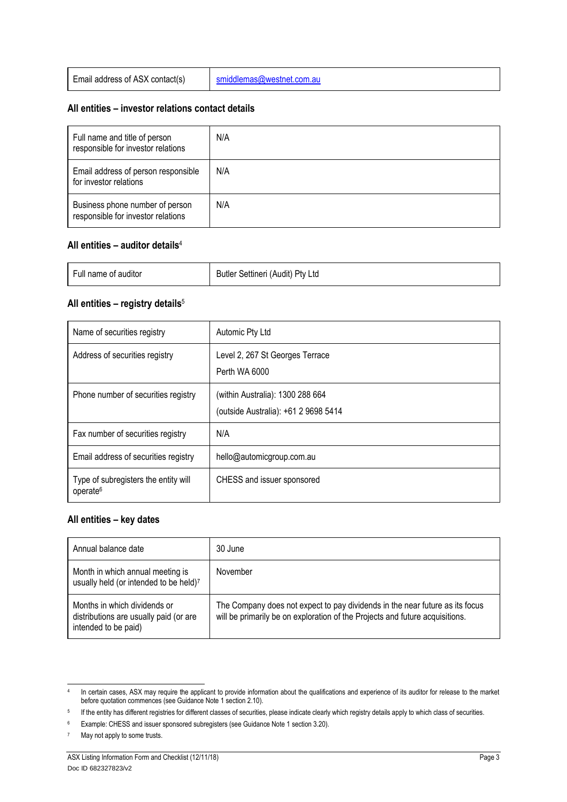### **All entities – investor relations contact details**

| Full name and title of person<br>responsible for investor relations   | N/A |
|-----------------------------------------------------------------------|-----|
| Email address of person responsible<br>for investor relations         | N/A |
| Business phone number of person<br>responsible for investor relations | N/A |

### **All entities – auditor details**<sup>4</sup>

| Full name of auditor | Butler Settineri (Audit) Pty Ltd |
|----------------------|----------------------------------|
|----------------------|----------------------------------|

### **All entities – registry details**<sup>5</sup>

| Name of securities registry                                  | Automic Pty Ltd                                                          |
|--------------------------------------------------------------|--------------------------------------------------------------------------|
| Address of securities registry                               | Level 2, 267 St Georges Terrace<br>Perth WA 6000                         |
| Phone number of securities registry                          | (within Australia): 1300 288 664<br>(outside Australia): +61 2 9698 5414 |
| Fax number of securities registry                            | N/A                                                                      |
| Email address of securities registry                         | hello@automicgroup.com.au                                                |
| Type of subregisters the entity will<br>operate <sup>6</sup> | CHESS and issuer sponsored                                               |

### **All entities – key dates**

| Annual balance date                                                                            | 30 June                                                                                                                                                      |
|------------------------------------------------------------------------------------------------|--------------------------------------------------------------------------------------------------------------------------------------------------------------|
| Month in which annual meeting is<br>usually held (or intended to be held)7                     | November                                                                                                                                                     |
| Months in which dividends or<br>distributions are usually paid (or are<br>intended to be paid) | The Company does not expect to pay dividends in the near future as its focus<br>will be primarily be on exploration of the Projects and future acquisitions. |

<sup>-&</sup>lt;br>4 In certain cases, ASX may require the applicant to provide information about the qualifications and experience of its auditor for release to the market before quotation commences (see Guidance Note 1 section 2.10).

<sup>5</sup> If the entity has different registries for different classes of securities, please indicate clearly which registry details apply to which class of securities.

<sup>6</sup> Example: CHESS and issuer sponsored subregisters (see Guidance Note 1 section 3.20).

<sup>&</sup>lt;sup>7</sup> May not apply to some trusts.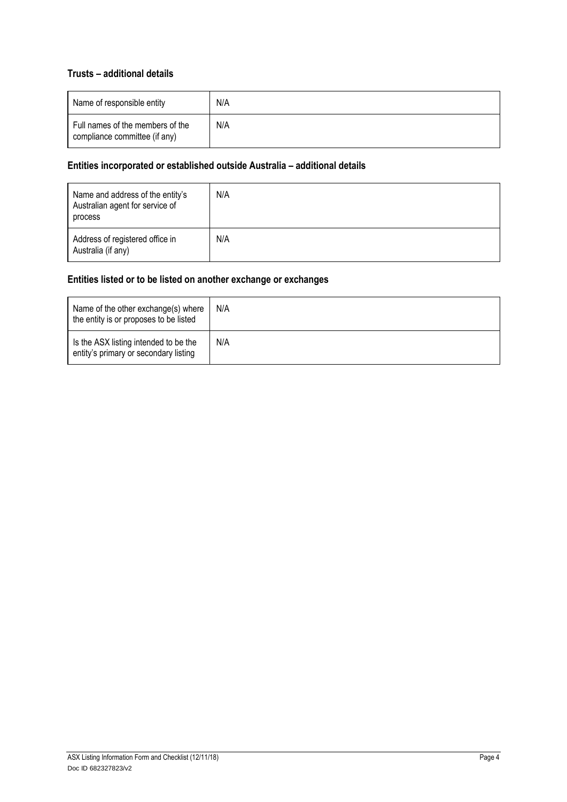### **Trusts – additional details**

| Name of responsible entity                                        | N/A |
|-------------------------------------------------------------------|-----|
| Full names of the members of the<br>compliance committee (if any) | N/A |

### **Entities incorporated or established outside Australia – additional details**

| Name and address of the entity's<br>Australian agent for service of<br>process | N/A |
|--------------------------------------------------------------------------------|-----|
| Address of registered office in<br>Australia (if any)                          | N/A |

## **Entities listed or to be listed on another exchange or exchanges**

| Name of the other exchange(s) where<br>the entity is or proposes to be listed  | N/A |
|--------------------------------------------------------------------------------|-----|
| Is the ASX listing intended to be the<br>entity's primary or secondary listing | N/A |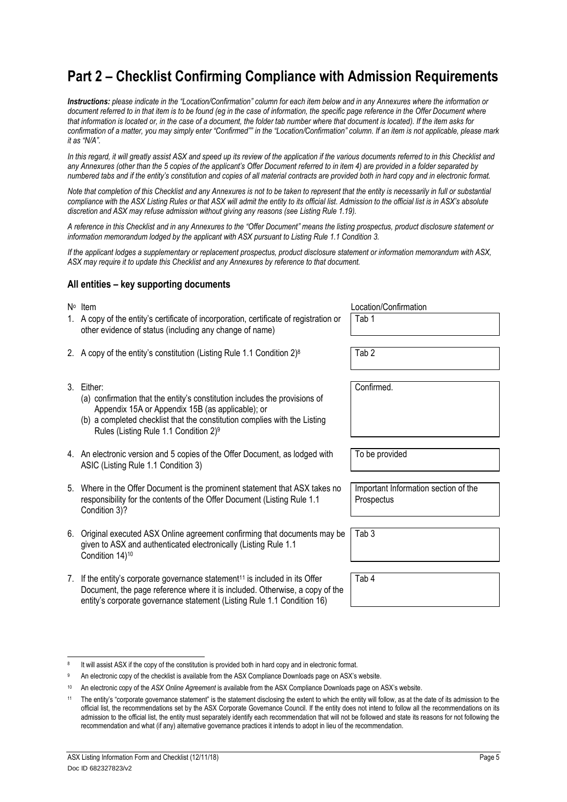## **Part 2 – Checklist Confirming Compliance with Admission Requirements**

*Instructions: please indicate in the "Location/Confirmation" column for each item below and in any Annexures where the information or document referred to in that item is to be found (eg in the case of information, the specific page reference in the Offer Document where that information is located or, in the case of a document, the folder tab number where that document is located). If the item asks for confirmation of a matter, you may simply enter "Confirmed"" in the "Location/Confirmation" column. If an item is not applicable, please mark it as "N/A".*

*In this regard, it will greatly assist ASX and speed up its review of the application if the various documents referred to in this Checklist and any Annexures (other than the 5 copies of the applicant's Offer Document referred to in item [4\)](#page-8-0) are provided in a folder separated by numbered tabs and if the entity's constitution and copies of all material contracts are provided both in hard copy and in electronic format.*

*Note that completion of this Checklist and any Annexures is not to be taken to represent that the entity is necessarily in full or substantial compliance with the ASX Listing Rules or that ASX will admit the entity to its official list. Admission to the official list is in ASX's absolute discretion and ASX may refuse admission without giving any reasons (see Listing Rule 1.19).*

*A reference in this Checklist and in any Annexures to the "Offer Document" means the listing prospectus, product disclosure statement or information memorandum lodged by the applicant with ASX pursuant to Listing Rule 1.1 Condition 3.*

*If the applicant lodges a supplementary or replacement prospectus, product disclosure statement or information memorandum with ASX, ASX may require it to update this Checklist and any Annexures by reference to that document.*

### **All entities – key supporting documents**

- N° Item
- 1. A copy of the entity's certificate of incorporation, certificate of registration or other evidence of status (including any change of name)

2. A copy of the entity's constitution (Listing Rule 1.1 Condition  $2)^8$ 

Location/Confirmation Tab 1

Tab 2

- 3. Either:
	- (a) confirmation that the entity's constitution includes the provisions of Appendix 15A or Appendix 15B (as applicable); or
	- (b) a completed checklist that the constitution complies with the Listing Rules (Listing Rule 1.1 Condition 2)<sup>9</sup>
- <span id="page-8-0"></span>4. An electronic version and 5 copies of the Offer Document, as lodged with ASIC (Listing Rule 1.1 Condition 3)
- 5. Where in the Offer Document is the prominent statement that ASX takes no responsibility for the contents of the Offer Document (Listing Rule 1.1 Condition 3)?
- 6. Original executed ASX Online agreement confirming that documents may be given to ASX and authenticated electronically (Listing Rule 1.1 Condition 14)<sup>10</sup>
- 7. If the entity's corporate governance statement<sup>11</sup> is included in its Offer Document, the page reference where it is included. Otherwise, a copy of the entity's corporate governance statement (Listing Rule 1.1 Condition 16)

Confirmed.

To be provided

Important Information section of the **Prospectus** 

Tab 3

Tab 4

j 8 It will assist ASX if the copy of the constitution is provided both in hard copy and in electronic format.

An electronic copy of the checklist is available from the ASX Compliance Downloads page on ASX's website.

<sup>10</sup> An electronic copy of the *ASX Online Agreement* is available from the ASX Compliance Downloads page on ASX's website.

<sup>11</sup> The entity's "corporate governance statement" is the statement disclosing the extent to which the entity will follow, as at the date of its admission to the official list, the recommendations set by the ASX Corporate Governance Council. If the entity does not intend to follow all the recommendations on its admission to the official list, the entity must separately identify each recommendation that will not be followed and state its reasons for not following the recommendation and what (if any) alternative governance practices it intends to adopt in lieu of the recommendation.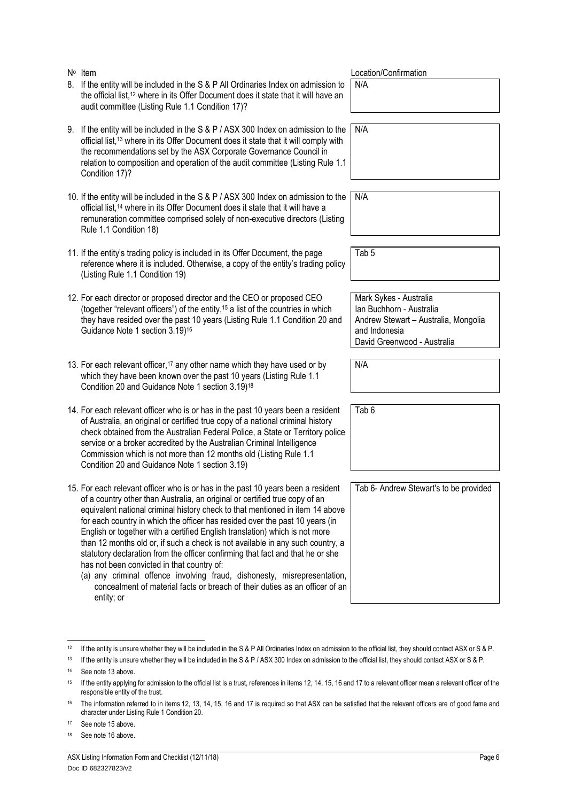j

<sup>14</sup> See note [13](#page-9-1) above.

<sup>17</sup> See note [15](#page-9-5) above. 18 See note [16](#page-9-6) above.

responsible entity of the trust.

character under Listing Rule 1 Condition 20.

<span id="page-9-1"></span>relation to composition and operation of the audit committee (Listing Rule 1.1 Condition 17)? Rule 1.1 Condition 18) N/A Tab 5 Mark Sykes - Australia Ian Buchhorn - Australia Andrew Stewart – Australia, Mongolia and Indonesia David Greenwood - Australia N/A Tab 6 concealment of material facts or breach of their duties as an officer of an entity; or Tab 6- Andrew Stewart's to be provided

<sup>12</sup> If the entity is unsure whether they will be included in the S & P All Ordinaries Index on admission to the official list, they should contact ASX or S & P. 13 If the entity is unsure whether they will be included in the S & P / ASX 300 Index on admission to the official list, they should contact ASX or S & P.

<sup>15</sup> If the entity applying for admission to the official list is a trust, references in items [12,](#page-9-2) [14,](#page-9-0) [15,](#page-9-3) [16](#page-10-0) an[d 17](#page-10-1) to a relevant officer mean a relevant officer of the

<sup>16</sup> The information referred to in items [12,](#page-9-2) [13,](#page-9-4) [14,](#page-9-0) [15,](#page-9-3) [16](#page-10-0) an[d 17](#page-10-1) is required so that ASX can be satisfied that the relevant officers are of good fame and

- N<sup>o</sup> Item 8. If the entity will be included in the S & P All Ordinaries Index on admission to the official list,<sup>12</sup> where in its Offer Document does it state that it will have an audit committee (Listing Rule 1.1 Condition 17)?
- 9. If the entity will be included in the S & P / ASX 300 Index on admission to the official list,<sup>13</sup> where in its Offer Document does it state that it will comply with the recommendations set by the ASX Corporate Governance Council in
- 10. If the entity will be included in the S & P / ASX 300 Index on admission to the official list,<sup>14</sup> where in its Offer Document does it state that it will have a remuneration committee comprised solely of non-executive directors (Listing
- 11. If the entity's trading policy is included in its Offer Document, the page reference where it is included. Otherwise, a copy of the entity's trading policy (Listing Rule 1.1 Condition 19)
- <span id="page-9-5"></span><span id="page-9-2"></span>12. For each director or proposed director and the CEO or proposed CEO (together "relevant officers") of the entity, <sup>15</sup> a list of the countries in which they have resided over the past 10 years (Listing Rule 1.1 Condition 20 and Guidance Note 1 section 3.19) 16
- <span id="page-9-6"></span><span id="page-9-4"></span>13. For each relevant officer, <sup>17</sup> any other name which they have used or by which they have been known over the past 10 years (Listing Rule 1.1) Condition 20 and Guidance Note 1 section 3.19)<sup>18</sup>
- <span id="page-9-0"></span>14. For each relevant officer who is or has in the past 10 years been a resident of Australia, an original or certified true copy of a national criminal history check obtained from the Australian Federal Police, a State or Territory police service or a broker accredited by the Australian Criminal Intelligence Commission which is not more than 12 months old (Listing Rule 1.1 Condition 20 and Guidance Note 1 section 3.19)
- <span id="page-9-3"></span>15. For each relevant officer who is or has in the past 10 years been a resident of a country other than Australia, an original or certified true copy of an equivalent national criminal history check to that mentioned in item [14](#page-9-0) above for each country in which the officer has resided over the past 10 years (in English or together with a certified English translation) which is not more than 12 months old or, if such a check is not available in any such country, a statutory declaration from the officer confirming that fact and that he or she has not been convicted in that country of:
	- (a) any criminal offence involving fraud, dishonesty, misrepresentation,

Location/Confirmation N/A

N/A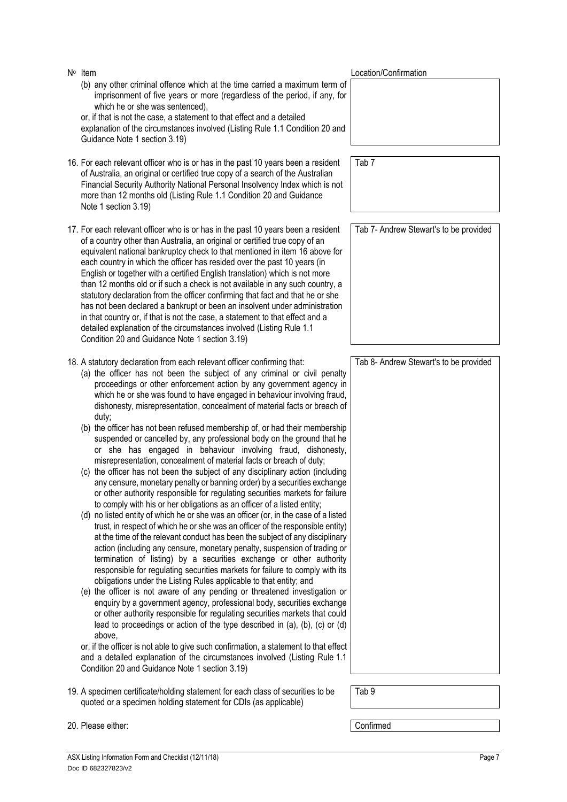<span id="page-10-1"></span><span id="page-10-0"></span>

| $N^{\circ}$ Item                                                                                                                                                                                                                                                                                                                                                                                                                                                                                                                                                                                                                                                                                                                                                                                                                                                                                                                                                                                                                                                                                                                                                                                                                                                                                                                                                                                                                                                                                                                                                                                                                                                                                                                                                                                                                                                                                                                                                                                                                                                                                                                                 | Location/Confirmation                  |
|--------------------------------------------------------------------------------------------------------------------------------------------------------------------------------------------------------------------------------------------------------------------------------------------------------------------------------------------------------------------------------------------------------------------------------------------------------------------------------------------------------------------------------------------------------------------------------------------------------------------------------------------------------------------------------------------------------------------------------------------------------------------------------------------------------------------------------------------------------------------------------------------------------------------------------------------------------------------------------------------------------------------------------------------------------------------------------------------------------------------------------------------------------------------------------------------------------------------------------------------------------------------------------------------------------------------------------------------------------------------------------------------------------------------------------------------------------------------------------------------------------------------------------------------------------------------------------------------------------------------------------------------------------------------------------------------------------------------------------------------------------------------------------------------------------------------------------------------------------------------------------------------------------------------------------------------------------------------------------------------------------------------------------------------------------------------------------------------------------------------------------------------------|----------------------------------------|
| (b) any other criminal offence which at the time carried a maximum term of<br>imprisonment of five years or more (regardless of the period, if any, for<br>which he or she was sentenced),<br>or, if that is not the case, a statement to that effect and a detailed<br>explanation of the circumstances involved (Listing Rule 1.1 Condition 20 and<br>Guidance Note 1 section 3.19)                                                                                                                                                                                                                                                                                                                                                                                                                                                                                                                                                                                                                                                                                                                                                                                                                                                                                                                                                                                                                                                                                                                                                                                                                                                                                                                                                                                                                                                                                                                                                                                                                                                                                                                                                            |                                        |
| 16. For each relevant officer who is or has in the past 10 years been a resident<br>of Australia, an original or certified true copy of a search of the Australian<br>Financial Security Authority National Personal Insolvency Index which is not<br>more than 12 months old (Listing Rule 1.1 Condition 20 and Guidance<br>Note 1 section 3.19)                                                                                                                                                                                                                                                                                                                                                                                                                                                                                                                                                                                                                                                                                                                                                                                                                                                                                                                                                                                                                                                                                                                                                                                                                                                                                                                                                                                                                                                                                                                                                                                                                                                                                                                                                                                                | Tab <sub>7</sub>                       |
| 17. For each relevant officer who is or has in the past 10 years been a resident<br>of a country other than Australia, an original or certified true copy of an<br>equivalent national bankruptcy check to that mentioned in item 16 above for<br>each country in which the officer has resided over the past 10 years (in<br>English or together with a certified English translation) which is not more<br>than 12 months old or if such a check is not available in any such country, a<br>statutory declaration from the officer confirming that fact and that he or she<br>has not been declared a bankrupt or been an insolvent under administration<br>in that country or, if that is not the case, a statement to that effect and a<br>detailed explanation of the circumstances involved (Listing Rule 1.1<br>Condition 20 and Guidance Note 1 section 3.19)                                                                                                                                                                                                                                                                                                                                                                                                                                                                                                                                                                                                                                                                                                                                                                                                                                                                                                                                                                                                                                                                                                                                                                                                                                                                            | Tab 7- Andrew Stewart's to be provided |
| 18. A statutory declaration from each relevant officer confirming that:<br>(a) the officer has not been the subject of any criminal or civil penalty<br>proceedings or other enforcement action by any government agency in<br>which he or she was found to have engaged in behaviour involving fraud,<br>dishonesty, misrepresentation, concealment of material facts or breach of<br>duty;<br>(b) the officer has not been refused membership of, or had their membership<br>suspended or cancelled by, any professional body on the ground that he<br>or she has engaged in behaviour involving fraud, dishonesty,<br>misrepresentation, concealment of material facts or breach of duty;<br>(c) the officer has not been the subject of any disciplinary action (including<br>any censure, monetary penalty or banning order) by a securities exchange<br>or other authority responsible for regulating securities markets for failure<br>to comply with his or her obligations as an officer of a listed entity;<br>(d) no listed entity of which he or she was an officer (or, in the case of a listed<br>trust, in respect of which he or she was an officer of the responsible entity)<br>at the time of the relevant conduct has been the subject of any disciplinary<br>action (including any censure, monetary penalty, suspension of trading or<br>termination of listing) by a securities exchange or other authority<br>responsible for regulating securities markets for failure to comply with its<br>obligations under the Listing Rules applicable to that entity; and<br>(e) the officer is not aware of any pending or threatened investigation or<br>enquiry by a government agency, professional body, securities exchange<br>or other authority responsible for regulating securities markets that could<br>lead to proceedings or action of the type described in (a), (b), (c) or (d)<br>above,<br>or, if the officer is not able to give such confirmation, a statement to that effect<br>and a detailed explanation of the circumstances involved (Listing Rule 1.1<br>Condition 20 and Guidance Note 1 section 3.19) | Tab 8- Andrew Stewart's to be provided |
| 19. A specimen certificate/holding statement for each class of securities to be<br>quoted or a specimen holding statement for CDIs (as applicable)                                                                                                                                                                                                                                                                                                                                                                                                                                                                                                                                                                                                                                                                                                                                                                                                                                                                                                                                                                                                                                                                                                                                                                                                                                                                                                                                                                                                                                                                                                                                                                                                                                                                                                                                                                                                                                                                                                                                                                                               | Tab <sub>9</sub>                       |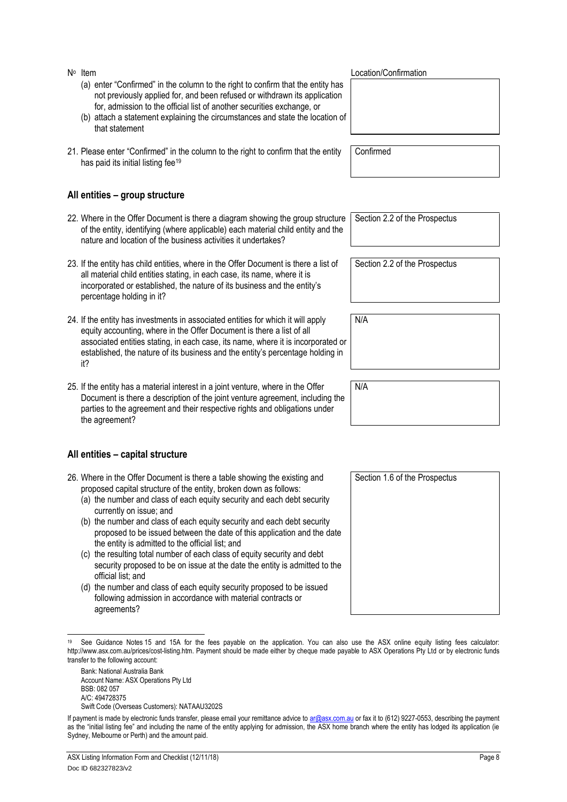#### N<sup>o</sup> Item

- (a) enter "Confirmed" in the column to the right to confirm that the entity has not previously applied for, and been refused or withdrawn its application for, admission to the official list of another securities exchange, or
- (b) attach a statement explaining the circumstances and state the location of that statement
- 21. Please enter "Confirmed" in the column to the right to confirm that the entity has paid its initial listing fee<sup>19</sup>

### **All entities – group structure**

- 22. Where in the Offer Document is there a diagram showing the group structure of the entity, identifying (where applicable) each material child entity and the nature and location of the business activities it undertakes?
- 23. If the entity has child entities, where in the Offer Document is there a list of all material child entities stating, in each case, its name, where it is incorporated or established, the nature of its business and the entity's percentage holding in it?
- 24. If the entity has investments in associated entities for which it will apply equity accounting, where in the Offer Document is there a list of all associated entities stating, in each case, its name, where it is incorporated or established, the nature of its business and the entity's percentage holding in it?
- 25. If the entity has a material interest in a joint venture, where in the Offer Document is there a description of the joint venture agreement, including the parties to the agreement and their respective rights and obligations under the agreement?

### **All entities – capital structure**

- <span id="page-11-0"></span>26. Where in the Offer Document is there a table showing the existing and proposed capital structure of the entity, broken down as follows:
	- (a) the number and class of each equity security and each debt security currently on issue; and
	- (b) the number and class of each equity security and each debt security proposed to be issued between the date of this application and the date the entity is admitted to the official list; and
	- (c) the resulting total number of each class of equity security and debt security proposed to be on issue at the date the entity is admitted to the official list; and
	- (d) the number and class of each equity security proposed to be issued following admission in accordance with material contracts or agreements?

Bank: National Australia Bank Account Name: ASX Operations Pty Ltd BSB: 082 057 A/C: 494728375 Swift Code (Overseas Customers): NATAAU3202S Location/Confirmation

**Confirmed** 

Section 2.2 of the Prospectus

Section 2.2 of the Prospectus

N/A

N/A



j See Guidance Notes 15 and 15A for the fees payable on the application. You can also use the ASX online equity listing fees calculator: http://www.asx.com.au/prices/cost-listing.htm. Payment should be made either by cheque made payable to ASX Operations Pty Ltd or by electronic funds transfer to the following account:

If payment is made by electronic funds transfer, please email your remittance advice t[o ar@asx.com.au](mailto:ar@asx.com.au) or fax it to (612) 9227-0553, describing the payment as the "initial listing fee" and including the name of the entity applying for admission, the ASX home branch where the entity has lodged its application (ie Sydney, Melbourne or Perth) and the amount paid.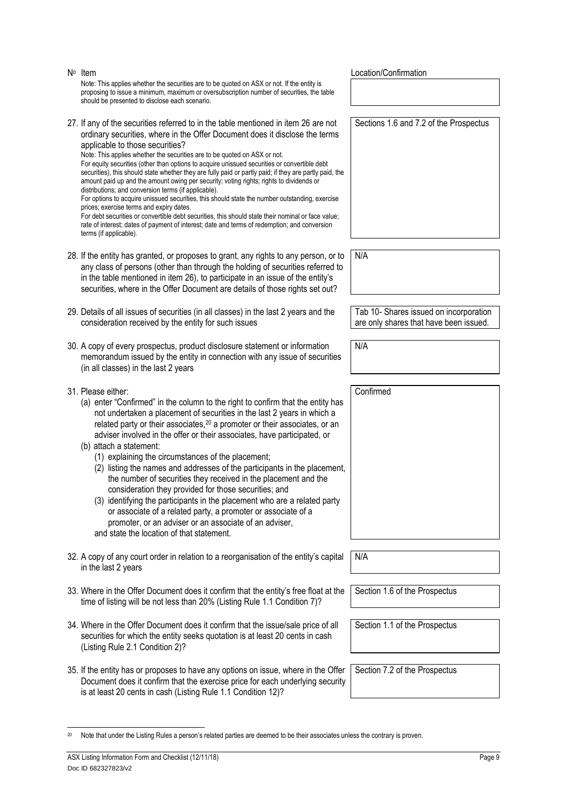| $N^{\circ}$ Item                                                                                                                                                                                                                                                                                                                                                                                                                                                                                                                                                                                                                                                                                                                                                                                                                                                                                                                                                                                                              | Location/Confirmation                                                            |
|-------------------------------------------------------------------------------------------------------------------------------------------------------------------------------------------------------------------------------------------------------------------------------------------------------------------------------------------------------------------------------------------------------------------------------------------------------------------------------------------------------------------------------------------------------------------------------------------------------------------------------------------------------------------------------------------------------------------------------------------------------------------------------------------------------------------------------------------------------------------------------------------------------------------------------------------------------------------------------------------------------------------------------|----------------------------------------------------------------------------------|
| Note: This applies whether the securities are to be quoted on ASX or not. If the entity is<br>proposing to issue a minimum, maximum or oversubscription number of securities, the table<br>should be presented to disclose each scenario.                                                                                                                                                                                                                                                                                                                                                                                                                                                                                                                                                                                                                                                                                                                                                                                     |                                                                                  |
| 27. If any of the securities referred to in the table mentioned in item 26 are not<br>ordinary securities, where in the Offer Document does it disclose the terms<br>applicable to those securities?<br>Note: This applies whether the securities are to be quoted on ASX or not.<br>For equity securities (other than options to acquire unissued securities or convertible debt<br>securities), this should state whether they are fully paid or partly paid; if they are partly paid, the<br>amount paid up and the amount owing per security; voting rights; rights to dividends or<br>distributions; and conversion terms (if applicable).<br>For options to acquire unissued securities, this should state the number outstanding, exercise<br>prices; exercise terms and expiry dates.<br>For debt securities or convertible debt securities, this should state their nominal or face value;<br>rate of interest; dates of payment of interest; date and terms of redemption; and conversion<br>terms (if applicable). | Sections 1.6 and 7.2 of the Prospectus                                           |
| 28. If the entity has granted, or proposes to grant, any rights to any person, or to<br>any class of persons (other than through the holding of securities referred to<br>in the table mentioned in item 26), to participate in an issue of the entity's<br>securities, where in the Offer Document are details of those rights set out?                                                                                                                                                                                                                                                                                                                                                                                                                                                                                                                                                                                                                                                                                      | N/A                                                                              |
| 29. Details of all issues of securities (in all classes) in the last 2 years and the<br>consideration received by the entity for such issues                                                                                                                                                                                                                                                                                                                                                                                                                                                                                                                                                                                                                                                                                                                                                                                                                                                                                  | Tab 10- Shares issued on incorporation<br>are only shares that have been issued. |
| 30. A copy of every prospectus, product disclosure statement or information<br>memorandum issued by the entity in connection with any issue of securities<br>(in all classes) in the last 2 years                                                                                                                                                                                                                                                                                                                                                                                                                                                                                                                                                                                                                                                                                                                                                                                                                             | N/A                                                                              |
| 31. Please either:<br>(a) enter "Confirmed" in the column to the right to confirm that the entity has<br>not undertaken a placement of securities in the last 2 years in which a<br>related party or their associates, <sup>20</sup> a promoter or their associates, or an<br>adviser involved in the offer or their associates, have participated, or<br>(b) attach a statement:<br>(1) explaining the circumstances of the placement;<br>(2) listing the names and addresses of the participants in the placement,<br>the number of securities they received in the placement and the<br>consideration they provided for those securities; and<br>(3) identifying the participants in the placement who are a related party<br>or associate of a related party, a promoter or associate of a<br>promoter, or an adviser or an associate of an adviser,<br>and state the location of that statement.                                                                                                                         | Confirmed                                                                        |
| 32. A copy of any court order in relation to a reorganisation of the entity's capital<br>in the last 2 years                                                                                                                                                                                                                                                                                                                                                                                                                                                                                                                                                                                                                                                                                                                                                                                                                                                                                                                  | N/A                                                                              |
| 33. Where in the Offer Document does it confirm that the entity's free float at the<br>time of listing will be not less than 20% (Listing Rule 1.1 Condition 7)?                                                                                                                                                                                                                                                                                                                                                                                                                                                                                                                                                                                                                                                                                                                                                                                                                                                              | Section 1.6 of the Prospectus                                                    |
| 34. Where in the Offer Document does it confirm that the issue/sale price of all<br>securities for which the entity seeks quotation is at least 20 cents in cash<br>(Listing Rule 2.1 Condition 2)?                                                                                                                                                                                                                                                                                                                                                                                                                                                                                                                                                                                                                                                                                                                                                                                                                           | Section 1.1 of the Prospectus                                                    |
| 35. If the entity has or proposes to have any options on issue, where in the Offer<br>Document does it confirm that the exercise price for each underlying security<br>is at least 20 cents in cash (Listing Rule 1.1 Condition 12)?                                                                                                                                                                                                                                                                                                                                                                                                                                                                                                                                                                                                                                                                                                                                                                                          | Section 7.2 of the Prospectus                                                    |

<span id="page-12-0"></span><sup>1</sup>  $20$  Note that under the Listing Rules a person's related parties are deemed to be their associates unless the contrary is proven.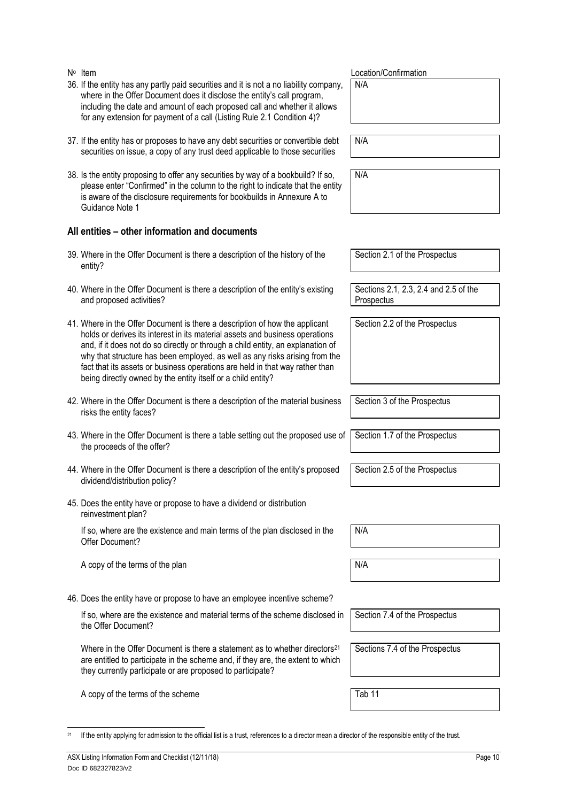- N<sup>o</sup> Item
- 36. If the entity has any partly paid securities and it is not a no liability company, where in the Offer Document does it disclose the entity's call program, including the date and amount of each proposed call and whether it allows for any extension for payment of a call (Listing Rule 2.1 Condition 4)?
- 37. If the entity has or proposes to have any debt securities or convertible debt securities on issue, a copy of any trust deed applicable to those securities
- 38. Is the entity proposing to offer any securities by way of a bookbuild? If so, please enter "Confirmed" in the column to the right to indicate that the entity is aware of the disclosure requirements for bookbuilds in Annexure A to Guidance Note 1

### **All entities – other information and documents**

- 39. Where in the Offer Document is there a description of the history of the entity?
- 40. Where in the Offer Document is there a description of the entity's existing and proposed activities?
- 41. Where in the Offer Document is there a description of how the applicant holds or derives its interest in its material assets and business operations and, if it does not do so directly or through a child entity, an explanation of why that structure has been employed, as well as any risks arising from the fact that its assets or business operations are held in that way rather than being directly owned by the entity itself or a child entity?
- 42. Where in the Offer Document is there a description of the material business risks the entity faces?
- 43. Where in the Offer Document is there a table setting out the proposed use of the proceeds of the offer?
- 44. Where in the Offer Document is there a description of the entity's proposed dividend/distribution policy?
- 45. Does the entity have or propose to have a dividend or distribution reinvestment plan?

If so, where are the existence and main terms of the plan disclosed in the Offer Document?

A copy of the terms of the plan N/A

46. Does the entity have or propose to have an employee incentive scheme?

If so, where are the existence and material terms of the scheme disclosed in the Offer Document?

Where in the Offer Document is there a statement as to whether directors<sup>21</sup> are entitled to participate in the scheme and, if they are, the extent to which they currently participate or are proposed to participate?

A copy of the terms of the scheme Tab 11

Location/Confirmation

N/A

N/A

N/A

Section 2.1 of the Prospectus

Sections 2.1, 2.3, 2.4 and 2.5 of the **Prospectus** 

Section 2.2 of the Prospectus

Section 3 of the Prospectus

Section 1.7 of the Prospectus

Section 2.5 of the Prospectus

N/A

Section 7.4 of the Prospectus

Sections 7.4 of the Prospectus

<sup>1</sup> <sup>21</sup> If the entity applying for admission to the official list is a trust, references to a director mean a director of the responsible entity of the trust.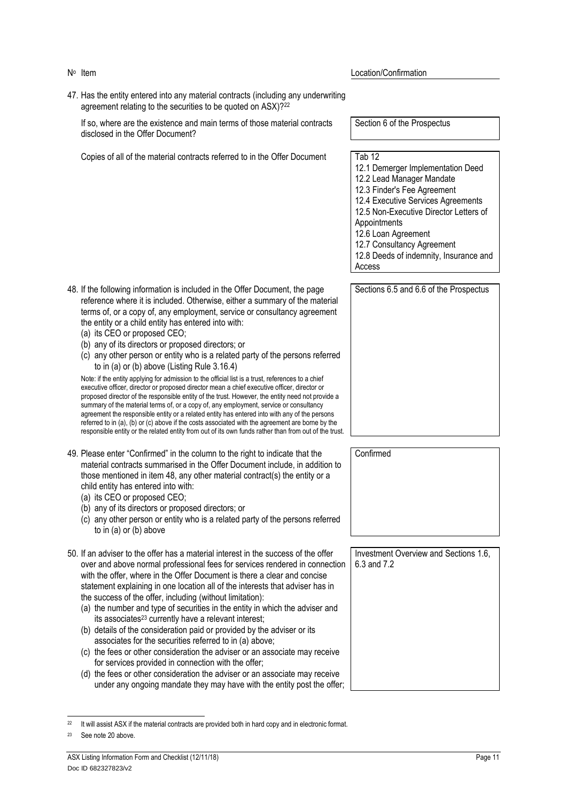<span id="page-14-0"></span>

| N° Item                                                                                                                                                                                                                                                                                                                                                                                                                                                                                                                                                                                                                                                                                                                                                                                                                                                                                                                                                                                                                                                                                                                                                                                                                                   | Location/Confirmation                                                                                                                                                                                                                                                                                            |
|-------------------------------------------------------------------------------------------------------------------------------------------------------------------------------------------------------------------------------------------------------------------------------------------------------------------------------------------------------------------------------------------------------------------------------------------------------------------------------------------------------------------------------------------------------------------------------------------------------------------------------------------------------------------------------------------------------------------------------------------------------------------------------------------------------------------------------------------------------------------------------------------------------------------------------------------------------------------------------------------------------------------------------------------------------------------------------------------------------------------------------------------------------------------------------------------------------------------------------------------|------------------------------------------------------------------------------------------------------------------------------------------------------------------------------------------------------------------------------------------------------------------------------------------------------------------|
| 47. Has the entity entered into any material contracts (including any underwriting<br>agreement relating to the securities to be quoted on ASX)?22                                                                                                                                                                                                                                                                                                                                                                                                                                                                                                                                                                                                                                                                                                                                                                                                                                                                                                                                                                                                                                                                                        |                                                                                                                                                                                                                                                                                                                  |
| If so, where are the existence and main terms of those material contracts<br>disclosed in the Offer Document?                                                                                                                                                                                                                                                                                                                                                                                                                                                                                                                                                                                                                                                                                                                                                                                                                                                                                                                                                                                                                                                                                                                             | Section 6 of the Prospectus                                                                                                                                                                                                                                                                                      |
| Copies of all of the material contracts referred to in the Offer Document                                                                                                                                                                                                                                                                                                                                                                                                                                                                                                                                                                                                                                                                                                                                                                                                                                                                                                                                                                                                                                                                                                                                                                 | Tab 12<br>12.1 Demerger Implementation Deed<br>12.2 Lead Manager Mandate<br>12.3 Finder's Fee Agreement<br>12.4 Executive Services Agreements<br>12.5 Non-Executive Director Letters of<br>Appointments<br>12.6 Loan Agreement<br>12.7 Consultancy Agreement<br>12.8 Deeds of indemnity, Insurance and<br>Access |
| 48. If the following information is included in the Offer Document, the page<br>reference where it is included. Otherwise, either a summary of the material<br>terms of, or a copy of, any employment, service or consultancy agreement<br>the entity or a child entity has entered into with:<br>(a) its CEO or proposed CEO;<br>(b) any of its directors or proposed directors; or<br>(c) any other person or entity who is a related party of the persons referred<br>to in (a) or (b) above (Listing Rule $3.16.4$ )<br>Note: if the entity applying for admission to the official list is a trust, references to a chief<br>executive officer, director or proposed director mean a chief executive officer, director or<br>proposed director of the responsible entity of the trust. However, the entity need not provide a<br>summary of the material terms of, or a copy of, any employment, service or consultancy<br>agreement the responsible entity or a related entity has entered into with any of the persons<br>referred to in (a), (b) or (c) above if the costs associated with the agreement are borne by the<br>responsible entity or the related entity from out of its own funds rather than from out of the trust. | Sections 6.5 and 6.6 of the Prospectus                                                                                                                                                                                                                                                                           |
| 49. Please enter "Confirmed" in the column to the right to indicate that the<br>material contracts summarised in the Offer Document include, in addition to<br>those mentioned in item 48, any other material contract(s) the entity or a<br>child entity has entered into with:<br>(a) its CEO or proposed CEO;<br>(b) any of its directors or proposed directors; or<br>(c) any other person or entity who is a related party of the persons referred<br>to in $(a)$ or $(b)$ above                                                                                                                                                                                                                                                                                                                                                                                                                                                                                                                                                                                                                                                                                                                                                     | Confirmed                                                                                                                                                                                                                                                                                                        |
| 50. If an adviser to the offer has a material interest in the success of the offer<br>over and above normal professional fees for services rendered in connection<br>with the offer, where in the Offer Document is there a clear and concise<br>statement explaining in one location all of the interests that adviser has in<br>the success of the offer, including (without limitation):<br>(a) the number and type of securities in the entity in which the adviser and<br>its associates <sup>23</sup> currently have a relevant interest;<br>(b) details of the consideration paid or provided by the adviser or its<br>associates for the securities referred to in (a) above;<br>(c) the fees or other consideration the adviser or an associate may receive<br>for services provided in connection with the offer;<br>(d) the fees or other consideration the adviser or an associate may receive<br>under any ongoing mandate they may have with the entity post the offer;                                                                                                                                                                                                                                                     | Investment Overview and Sections 1.6,<br>6.3 and 7.2                                                                                                                                                                                                                                                             |

<sup>&</sup>lt;sup>22</sup> It will assist ASX if the material contracts are provided both in hard copy and in electronic format.

j

<sup>23</sup> See note [20](#page-12-0) above.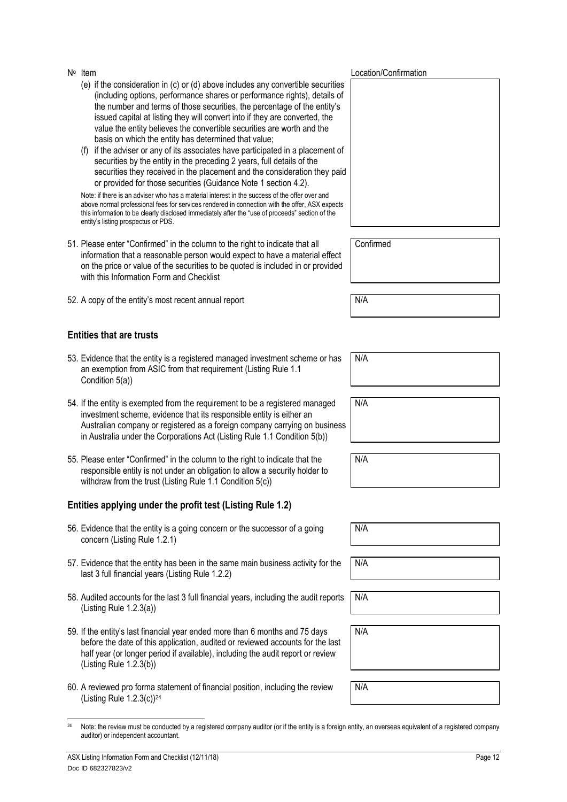auditor) or independent accountant.

j

### N<sup>o</sup> Item

- (e) if the consideration in (c) or (d) above includes any convertible securities (including options, performance shares or performance rights), details of the number and terms of those securities, the percentage of the entity's issued capital at listing they will convert into if they are converted, the value the entity believes the convertible securities are worth and the basis on which the entity has determined that value;
- (f) if the adviser or any of its associates have participated in a placement of securities by the entity in the preceding 2 years, full details of the securities they received in the placement and the consideration they paid or provided for those securities (Guidance Note 1 section 4.2).

Note: if there is an adviser who has a material interest in the success of the offer over and above normal professional fees for services rendered in connection with the offer, ASX expects this information to be clearly disclosed immediately after the "use of proceeds" section of the entity's listing prospectus or PDS.

- 51. Please enter "Confirmed" in the column to the right to indicate that all information that a reasonable person would expect to have a material effect on the price or value of the securities to be quoted is included in or provided with this Information Form and Checklist
- 52. A copy of the entity's most recent annual report

### **Entities that are trusts**

- 53. Evidence that the entity is a registered managed investment scheme or has an exemption from ASIC from that requirement (Listing Rule 1.1 Condition 5(a))
- 54. If the entity is exempted from the requirement to be a registered managed investment scheme, evidence that its responsible entity is either an Australian company or registered as a foreign company carrying on business in Australia under the Corporations Act (Listing Rule 1.1 Condition 5(b))
- 55. Please enter "Confirmed" in the column to the right to indicate that the responsible entity is not under an obligation to allow a security holder to withdraw from the trust (Listing Rule 1.1 Condition 5(c))

### **Entities applying under the profit test (Listing Rule 1.2)**

- 56. Evidence that the entity is a going concern or the successor of a going concern (Listing Rule 1.2.1)
- 57. Evidence that the entity has been in the same main business activity for the last 3 full financial years (Listing Rule 1.2.2)
- 58. Audited accounts for the last 3 full financial years, including the audit reports (Listing Rule 1.2.3(a))
- 59. If the entity's last financial year ended more than 6 months and 75 days before the date of this application, audited or reviewed accounts for the last half year (or longer period if available), including the audit report or review (Listing Rule 1.2.3(b))
- 60. A reviewed pro forma statement of financial position, including the review (Listing Rule 1.2.3(c))<sup>24</sup>

Note: the review must be conducted by a registered company auditor (or if the entity is a foreign entity, an overseas equivalent of a registered company

### Location/Confirmation

Confirmed

N/A

N/A

N/A

N/A

N/A

N/A

| N/A |  |  |
|-----|--|--|
|     |  |  |
|     |  |  |
|     |  |  |
| N/A |  |  |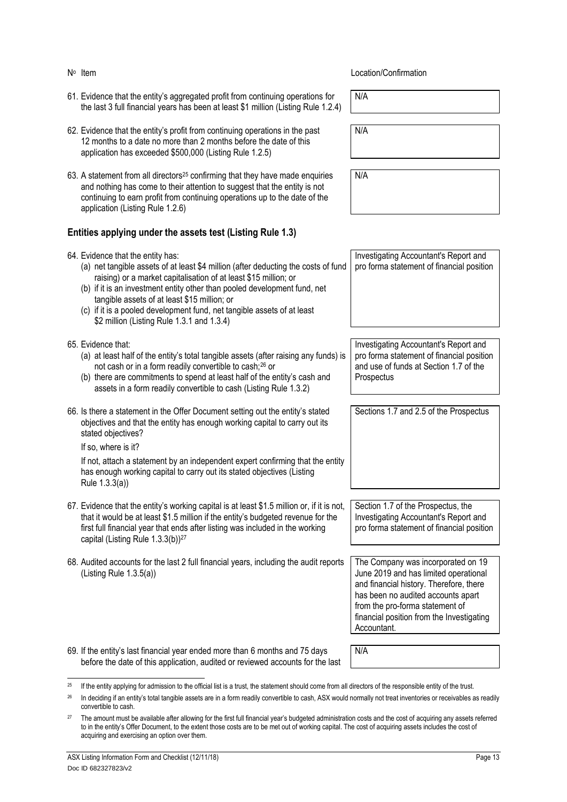N<sup>o</sup> Item

- 61. Evidence that the entity's aggregated profit from continuing operations for the last 3 full financial years has been at least \$1 million (Listing Rule 1.2.4)
- 62. Evidence that the entity's profit from continuing operations in the past 12 months to a date no more than 2 months before the date of this application has exceeded \$500,000 (Listing Rule 1.2.5)
- 63. A statement from all directors<sup>25</sup> confirming that they have made enquiries and nothing has come to their attention to suggest that the entity is not continuing to earn profit from continuing operations up to the date of the application (Listing Rule 1.2.6)

### **Entities applying under the assets test (Listing Rule 1.3)**

### (a) net tangible assets of at least \$4 million (after deducting the costs of fund raising) or a market capitalisation of at least \$15 million; or (b) if it is an investment entity other than pooled development fund, net tangible assets of at least \$15 million; or (c) if it is a pooled development fund, net tangible assets of at least \$2 million (Listing Rule 1.3.1 and 1.3.4) Investigating Accountant's Report and pro forma statement of financial position (a) at least half of the entity's total tangible assets (after raising any funds) is not cash or in a form readily convertible to cash;<sup>26</sup> or Investigating Accountant's Report and pro forma statement of financial position and use of funds at Section 1.7 of the

(b) there are commitments to spend at least half of the entity's cash and assets in a form readily convertible to cash (Listing Rule 1.3.2)

66. Is there a statement in the Offer Document setting out the entity's stated objectives and that the entity has enough working capital to carry out its stated objectives?

If so, where is it?

j

65. Evidence that:

64. Evidence that the entity has:

If not, attach a statement by an independent expert confirming that the entity has enough working capital to carry out its stated objectives (Listing Rule 1.3.3(a))

- 67. Evidence that the entity's working capital is at least \$1.5 million or, if it is not, that it would be at least \$1.5 million if the entity's budgeted revenue for the first full financial year that ends after listing was included in the working capital (Listing Rule 1.3.3(b))<sup>27</sup>
- 68. Audited accounts for the last 2 full financial years, including the audit reports (Listing Rule 1.3.5(a))

# Sections 1.7 and 2.5 of the Prospectus

Section 1.7 of the Prospectus, the Investigating Accountant's Report and pro forma statement of financial position

The Company was incorporated on 19 June 2019 and has limited operational and financial history. Therefore, there has been no audited accounts apart from the pro-forma statement of financial position from the Investigating Accountant.

69. If the entity's last financial year ended more than 6 months and 75 days before the date of this application, audited or reviewed accounts for the last **Location/Confirmation** 

N/A

N/A

N/A

**Prospectus** 

N/A

<sup>&</sup>lt;sup>25</sup> If the entity applying for admission to the official list is a trust, the statement should come from all directors of the responsible entity of the trust.

<sup>&</sup>lt;sup>26</sup> In deciding if an entity's total tangible assets are in a form readily convertible to cash, ASX would normally not treat inventories or receivables as readily convertible to cash.

<sup>&</sup>lt;sup>27</sup> The amount must be available after allowing for the first full financial year's budgeted administration costs and the cost of acquiring any assets referred to in the entity's Offer Document, to the extent those costs are to be met out of working capital. The cost of acquiring assets includes the cost of acquiring and exercising an option over them.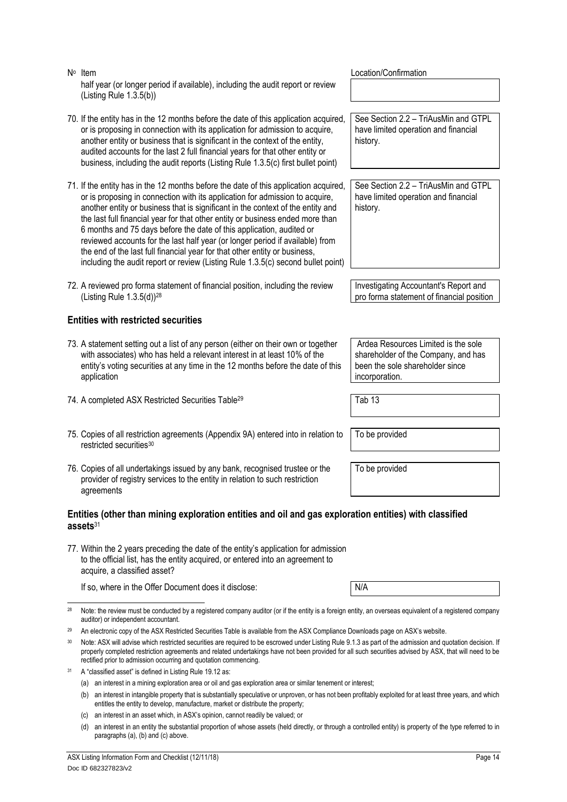70. If the entity has in the 12 months before the date of this application acquired, or is proposing in connection with its application for admission to acquire, another entity or business that is significant in the context of the entity, audited accounts for the last 2 full financial years for that other entity or business, including the audit reports (Listing Rule 1.3.5(c) first bullet point) have limited operation and financial history. 71. If the entity has in the 12 months before the date of this application acquired, or is proposing in connection with its application for admission to acquire, another entity or business that is significant in the context of the entity and the last full financial year for that other entity or business ended more than 6 months and 75 days before the date of this application, audited or reviewed accounts for the last half year (or longer period if available) from the end of the last full financial year for that other entity or business, including the audit report or review (Listing Rule 1.3.5(c) second bullet point) See Section 2.2 – TriAusMin and GTPL have limited operation and financial history. 72. A reviewed pro forma statement of financial position, including the review (Listing Rule 1.3.5(d))<sup>28</sup> Investigating Accountant's Report and **Entities with restricted securities** 73. A statement setting out a list of any person (either on their own or together with associates) who has held a relevant interest in at least 10% of the entity's voting securities at any time in the 12 months before the date of this application Ardea Resources Limited is the sole shareholder of the Company, and has been the sole shareholder since incorporation. 74. A completed ASX Restricted Securities Table<sup>29</sup> Tab 13 75. Copies of all restriction agreements (Appendix 9A) entered into in relation to restricted securities<sup>30</sup> To be provided 76. Copies of all undertakings issued by any bank, recognised trustee or the provider of registry services to the entity in relation to such restriction agreements To be provided

### <span id="page-17-0"></span>**Entities (other than mining exploration entities and oil and gas exploration entities) with classified assets**<sup>31</sup>

77. Within the 2 years preceding the date of the entity's application for admission to the official list, has the entity acquired, or entered into an agreement to acquire, a classified asset?

half year (or longer period if available), including the audit report or review

If so, where in the Offer Document does it disclose: N/A

- Note: ASX will advise which restricted securities are required to be escrowed under Listing Rule 9.1.3 as part of the admission and quotation decision. If properly completed restriction agreements and related undertakings have not been provided for all such securities advised by ASX, that will need to be rectified prior to admission occurring and quotation commencing.
- <sup>31</sup> A "classified asset" is defined in Listing Rule 19.12 as:

N<sup>o</sup> Item

(Listing Rule 1.3.5(b))

- (a) an interest in a mining exploration area or oil and gas exploration area or similar tenement or interest;
- (b) an interest in intangible property that is substantially speculative or unproven, or has not been profitably exploited for at least three years, and which entitles the entity to develop, manufacture, market or distribute the property;
- (c) an interest in an asset which, in ASX's opinion, cannot readily be valued; or
- (d) an interest in an entity the substantial proportion of whose assets (held directly, or through a controlled entity) is property of the type referred to in paragraphs (a), (b) and (c) above.

Location/Confirmation

See Section 2.2 – TriAusMin and GTPL

pro forma statement of financial position

 $28$ Note: the review must be conducted by a registered company auditor (or if the entity is a foreign entity, an overseas equivalent of a registered company auditor) or independent accountant.

<sup>&</sup>lt;sup>29</sup> An electronic copy of the ASX Restricted Securities Table is available from the ASX Compliance Downloads page on ASX's website.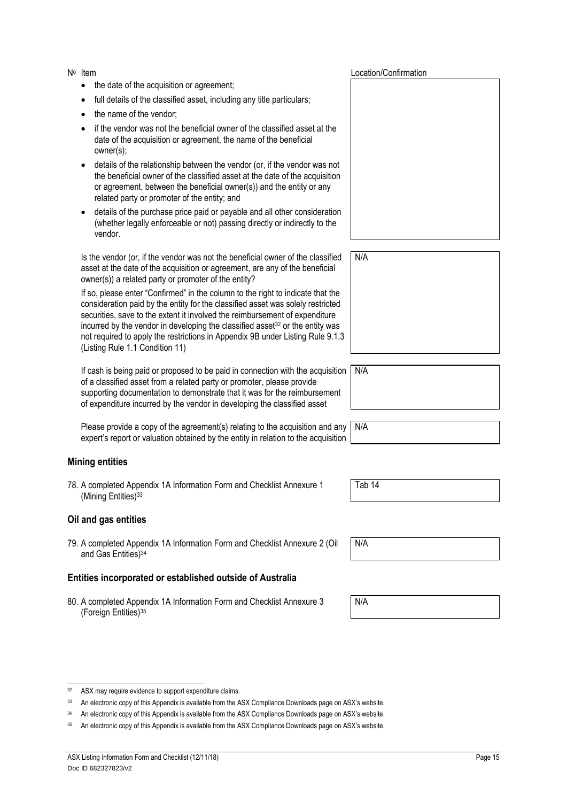ASX Listing Information Form and Checklist (12/11/18) **Page 15** Page 15 Doc ID 682327823/v2 (Foreign Entities)<sup>35</sup> <sup>32</sup> ASX may require evidence to support expenditure claims. 33 An electronic copy of this Appendix is available from the ASX Compliance Downloads page on ASX's website. 34 An electronic copy of this Appendix is available from the ASX Compliance Downloads page on ASX's website. <sup>35</sup> An electronic copy of this Appendix is available from the ASX Compliance Downloads page on ASX's website.

 details of the relationship between the vendor (or, if the vendor was not the beneficial owner of the classified asset at the date of the acquisition or agreement, between the beneficial owner(s)) and the entity or any related party or promoter of the entity; and details of the purchase price paid or payable and all other consideration (whether legally enforceable or not) passing directly or indirectly to the vendor.

 if the vendor was not the beneficial owner of the classified asset at the date of the acquisition or agreement, the name of the beneficial

full details of the classified asset, including any title particulars;

the date of the acquisition or agreement;

the name of the vendor;

owner(s);

Is the vendor (or, if the vendor was not the beneficial owner of the classified asset at the date of the acquisition or agreement, are any of the beneficial owner(s)) a related party or promoter of the entity?

If so, please enter "Confirmed" in the column to the right to indicate that the consideration paid by the entity for the classified asset was solely restricted securities, save to the extent it involved the reimbursement of expenditure incurred by the vendor in developing the classified asset<sup>32</sup> or the entity was not required to apply the restrictions in Appendix 9B under Listing Rule 9.1.3 (Listing Rule 1.1 Condition 11)

If cash is being paid or proposed to be paid in connection with the acquisition of a classified asset from a related party or promoter, please provide supporting documentation to demonstrate that it was for the reimbursement of expenditure incurred by the vendor in developing the classified asset

Please provide a copy of the agreement(s) relating to the acquisition and any expert's report or valuation obtained by the entity in relation to the acquisition

## **Mining entities**

N<sup>o</sup> Item

78. A completed Appendix 1A Information Form and Checklist Annexure 1 (Mining Entities)<sup>33</sup>

## **Oil and gas entities**

j

79. A completed Appendix 1A Information Form and Checklist Annexure 2 (Oil and Gas Entities)<sup>34</sup>

## **Entities incorporated or established outside of Australia**

80. A completed Appendix 1A Information Form and Checklist Annexure 3

| Location/Confirmation |
|-----------------------|
|                       |

N/A

N/A N/A

Tab 14

N/A

N/A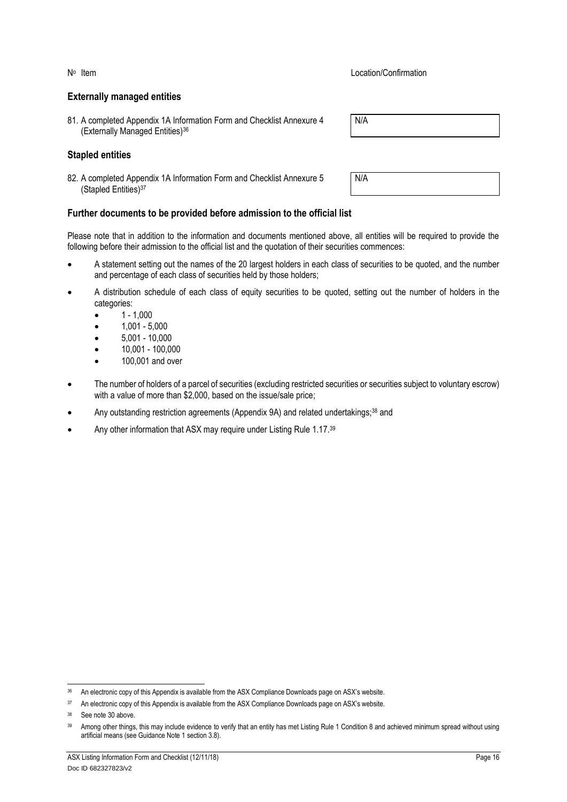### N<sup>o</sup> Item

### Location/Confirmation

### **Externally managed entities**

81. A completed Appendix 1A Information Form and Checklist Annexure 4 (Externally Managed Entities)<sup>36</sup>

### **Stapled entities**

82. A completed Appendix 1A Information Form and Checklist Annexure 5 (Stapled Entities)<sup>37</sup>

| N/A<br>₩⊓ |  |  |  |
|-----------|--|--|--|
|           |  |  |  |

| -<br>., |  |  |  |
|---------|--|--|--|
|         |  |  |  |

### **Further documents to be provided before admission to the official list**

Please note that in addition to the information and documents mentioned above, all entities will be required to provide the following before their admission to the official list and the quotation of their securities commences:

- A statement setting out the names of the 20 largest holders in each class of securities to be quoted, and the number and percentage of each class of securities held by those holders;
- A distribution schedule of each class of equity securities to be quoted, setting out the number of holders in the categories:
	- $-1 1,000$
	- 1,001 5,000
	- 5,001 10,000
	- 10,001 100,000
	- 100,001 and over
- The number of holders of a parcel of securities (excluding restricted securities or securities subject to voluntary escrow) with a value of more than \$2,000, based on the issue/sale price;
- Any outstanding restriction agreements (Appendix 9A) and related undertakings;<sup>38</sup> and
- Any other information that ASX may require under Listing Rule 1.17.39

<sup>1</sup> 36 An electronic copy of this Appendix is available from the ASX Compliance Downloads page on ASX's website.

<sup>37</sup> An electronic copy of this Appendix is available from the ASX Compliance Downloads page on ASX's website.

<sup>38</sup> See note [30](#page-17-0) above.

<sup>39</sup> Among other things, this may include evidence to verify that an entity has met Listing Rule 1 Condition 8 and achieved minimum spread without using artificial means (see Guidance Note 1 section 3.8).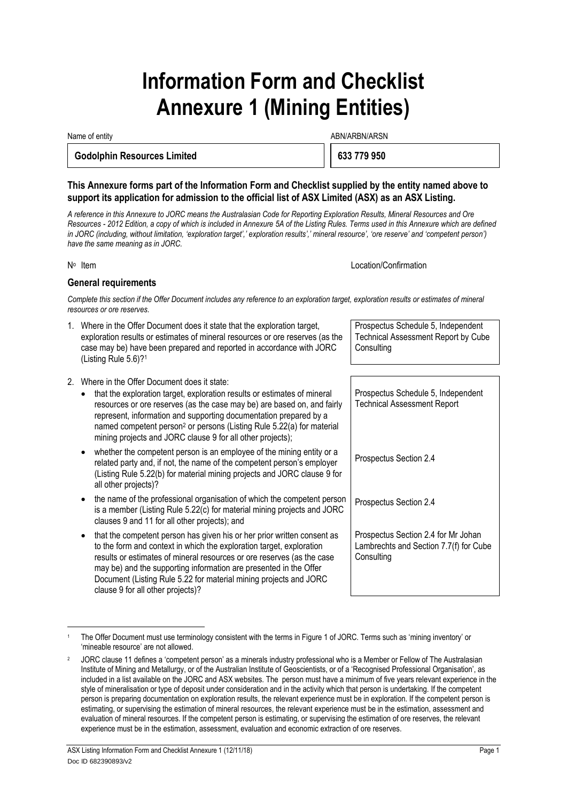# **Information Form and Checklist Annexure 1 (Mining Entities)**

Name of entity and the state of entity and the state of entity and the state of entity and the state of entity  $\mathsf{ABN}$  ABN/ARBN/ARSN

### **Godolphin Resources Limited 1986** 1986 1987 19950

**This Annexure forms part of the Information Form and Checklist supplied by the entity named above to support its application for admission to the official list of ASX Limited (ASX) as an ASX Listing.**

*A reference in this Annexure to JORC means the Australasian Code for Reporting Exploration Results, Mineral Resources and Ore Resources - 2012 Edition, a copy of which is included in Annexure 5A of the Listing Rules. Terms used in this Annexure which are defined*  in JORC (including, without limitation, 'exploration target',' exploration results',' mineral resource', 'ore reserve' and 'competent person') *have the same meaning as in JORC.*

N<sup>o</sup> Item

Location/Confirmation

### **General requirements**

*Complete this section if the Offer Document includes any reference to an exploration target, exploration results or estimates of mineral resources or ore reserves.*

| 1.             | Where in the Offer Document does it state that the exploration target,<br>exploration results or estimates of mineral resources or ore reserves (as the<br>case may be) have been prepared and reported in accordance with JORC<br>(Listing Rule 5.6)? <sup>1</sup>                                                                                                                                                                    | Prospectus Schedule 5, Independent<br><b>Technical Assessment Report by Cube</b><br>Consulting |
|----------------|----------------------------------------------------------------------------------------------------------------------------------------------------------------------------------------------------------------------------------------------------------------------------------------------------------------------------------------------------------------------------------------------------------------------------------------|------------------------------------------------------------------------------------------------|
| 2 <sub>1</sub> | Where in the Offer Document does it state:<br>that the exploration target, exploration results or estimates of mineral<br>$\bullet$<br>resources or ore reserves (as the case may be) are based on, and fairly<br>represent, information and supporting documentation prepared by a<br>named competent person <sup>2</sup> or persons (Listing Rule 5.22(a) for material<br>mining projects and JORC clause 9 for all other projects); | Prospectus Schedule 5, Independent<br><b>Technical Assessment Report</b>                       |
|                | whether the competent person is an employee of the mining entity or a<br>related party and, if not, the name of the competent person's employer<br>(Listing Rule 5.22(b) for material mining projects and JORC clause 9 for<br>all other projects)?                                                                                                                                                                                    | Prospectus Section 2.4                                                                         |
|                | the name of the professional organisation of which the competent person<br>is a member (Listing Rule 5.22(c) for material mining projects and JORC<br>clauses 9 and 11 for all other projects); and                                                                                                                                                                                                                                    | Prospectus Section 2.4                                                                         |
|                | that the competent person has given his or her prior written consent as<br>$\bullet$<br>to the form and context in which the exploration target, exploration<br>results or estimates of mineral resources or ore reserves (as the case<br>may be) and the supporting information are presented in the Offer<br>Document (Listing Rule 5.22 for material mining projects and JORC<br>clause 9 for all other projects)?                  | Prospectus Section 2.4 for Mr Johan<br>Lambrechts and Section 7.7(f) for Cube<br>Consulting    |

 $\overline{a}$ <sup>1</sup> The Offer Document must use terminology consistent with the terms in Figure 1 of JORC. Terms such as 'mining inventory' or 'mineable resource' are not allowed.

<sup>2</sup> JORC clause 11 defines a 'competent person' as a minerals industry professional who is a Member or Fellow of The Australasian Institute of Mining and Metallurgy, or of the Australian Institute of Geoscientists, or of a 'Recognised Professional Organisation', as included in a list available on the JORC and ASX websites. The person must have a minimum of five years relevant experience in the style of mineralisation or type of deposit under consideration and in the activity which that person is undertaking. If the competent person is preparing documentation on exploration results, the relevant experience must be in exploration. If the competent person is estimating, or supervising the estimation of mineral resources, the relevant experience must be in the estimation, assessment and evaluation of mineral resources. If the competent person is estimating, or supervising the estimation of ore reserves, the relevant experience must be in the estimation, assessment, evaluation and economic extraction of ore reserves.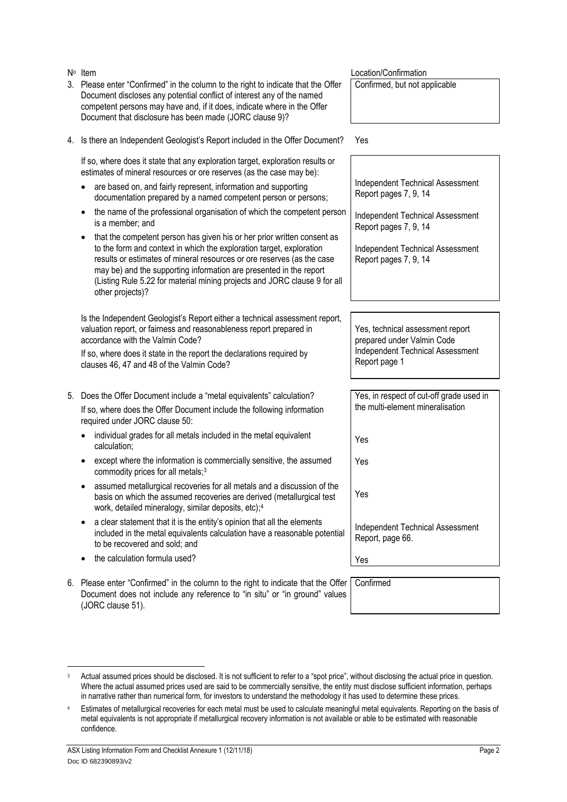| $No$ Item                                                                                                                                                                                                                                                                                                                                                                                        | Location/Confirmation                                                                                     |
|--------------------------------------------------------------------------------------------------------------------------------------------------------------------------------------------------------------------------------------------------------------------------------------------------------------------------------------------------------------------------------------------------|-----------------------------------------------------------------------------------------------------------|
| 3. Please enter "Confirmed" in the column to the right to indicate that the Offer<br>Document discloses any potential conflict of interest any of the named<br>competent persons may have and, if it does, indicate where in the Offer<br>Document that disclosure has been made (JORC clause 9)?                                                                                                | Confirmed, but not applicable                                                                             |
| 4. Is there an Independent Geologist's Report included in the Offer Document?                                                                                                                                                                                                                                                                                                                    | Yes                                                                                                       |
| If so, where does it state that any exploration target, exploration results or<br>estimates of mineral resources or ore reserves (as the case may be):                                                                                                                                                                                                                                           |                                                                                                           |
| are based on, and fairly represent, information and supporting<br>٠<br>documentation prepared by a named competent person or persons;                                                                                                                                                                                                                                                            | <b>Independent Technical Assessment</b><br>Report pages 7, 9, 14                                          |
| the name of the professional organisation of which the competent person<br>$\bullet$<br>is a member; and                                                                                                                                                                                                                                                                                         | <b>Independent Technical Assessment</b><br>Report pages 7, 9, 14                                          |
| that the competent person has given his or her prior written consent as<br>to the form and context in which the exploration target, exploration<br>results or estimates of mineral resources or ore reserves (as the case<br>may be) and the supporting information are presented in the report<br>(Listing Rule 5.22 for material mining projects and JORC clause 9 for all<br>other projects)? | <b>Independent Technical Assessment</b><br>Report pages 7, 9, 14                                          |
| Is the Independent Geologist's Report either a technical assessment report,<br>valuation report, or fairness and reasonableness report prepared in<br>accordance with the Valmin Code?                                                                                                                                                                                                           | Yes, technical assessment report<br>prepared under Valmin Code<br><b>Independent Technical Assessment</b> |
| If so, where does it state in the report the declarations required by<br>clauses 46, 47 and 48 of the Valmin Code?                                                                                                                                                                                                                                                                               | Report page 1                                                                                             |
| 5. Does the Offer Document include a "metal equivalents" calculation?<br>If so, where does the Offer Document include the following information                                                                                                                                                                                                                                                  | Yes, in respect of cut-off grade used in<br>the multi-element mineralisation                              |
| required under JORC clause 50:<br>individual grades for all metals included in the metal equivalent<br>$\bullet$<br>calculation;                                                                                                                                                                                                                                                                 | Yes                                                                                                       |
| except where the information is commercially sensitive, the assumed<br>$\bullet$<br>commodity prices for all metals; <sup>3</sup>                                                                                                                                                                                                                                                                | Yes                                                                                                       |
| assumed metallurgical recoveries for all metals and a discussion of the<br>basis on which the assumed recoveries are derived (metallurgical test<br>work, detailed mineralogy, similar deposits, etc);4                                                                                                                                                                                          | Yes                                                                                                       |
| a clear statement that it is the entity's opinion that all the elements<br>$\bullet$<br>included in the metal equivalents calculation have a reasonable potential<br>to be recovered and sold; and                                                                                                                                                                                               | <b>Independent Technical Assessment</b><br>Report, page 66.                                               |
| the calculation formula used?                                                                                                                                                                                                                                                                                                                                                                    | Yes                                                                                                       |
| 6. Please enter "Confirmed" in the column to the right to indicate that the Offer<br>Document does not include any reference to "in situ" or "in ground" values<br>(JORC clause 51).                                                                                                                                                                                                             | Confirmed                                                                                                 |

 $\overline{a}$ 

<sup>&</sup>lt;sup>3</sup> Actual assumed prices should be disclosed. It is not sufficient to refer to a "spot price", without disclosing the actual price in question. Where the actual assumed prices used are said to be commercially sensitive, the entity must disclose sufficient information, perhaps in narrative rather than numerical form, for investors to understand the methodology it has used to determine these prices.

<sup>4</sup> Estimates of metallurgical recoveries for each metal must be used to calculate meaningful metal equivalents. Reporting on the basis of metal equivalents is not appropriate if metallurgical recovery information is not available or able to be estimated with reasonable confidence.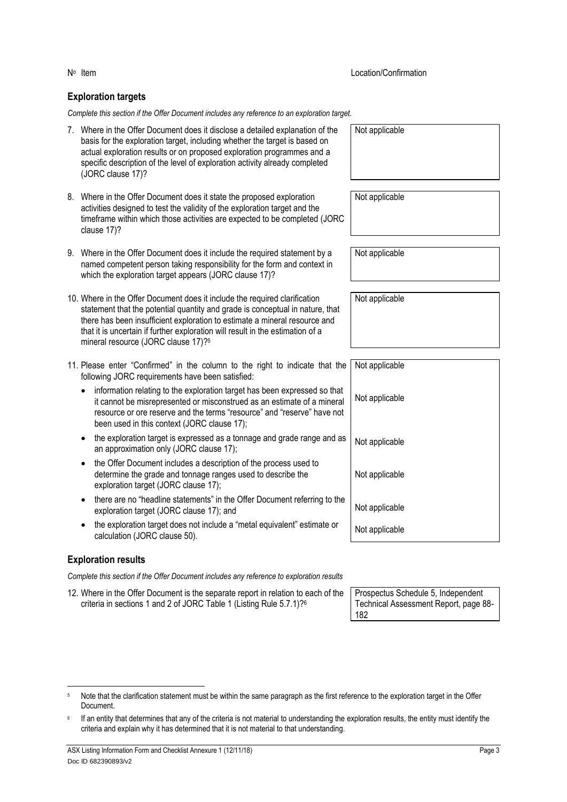N<sup>o</sup> Item

# **Exploration targets**

Location/Confirmation

*Complete this section if the Offer Document includes any reference to an exploration target.*

| 7. Where in the Offer Document does it disclose a detailed explanation of the<br>basis for the exploration target, including whether the target is based on<br>actual exploration results or on proposed exploration programmes and a<br>specific description of the level of exploration activity already completed<br>(JORC clause 17)?                                      | Not applicable |
|--------------------------------------------------------------------------------------------------------------------------------------------------------------------------------------------------------------------------------------------------------------------------------------------------------------------------------------------------------------------------------|----------------|
| 8. Where in the Offer Document does it state the proposed exploration<br>activities designed to test the validity of the exploration target and the<br>timeframe within which those activities are expected to be completed (JORC<br>clause 17)?                                                                                                                               | Not applicable |
| 9. Where in the Offer Document does it include the required statement by a<br>named competent person taking responsibility for the form and context in<br>which the exploration target appears (JORC clause 17)?                                                                                                                                                               | Not applicable |
| 10. Where in the Offer Document does it include the required clarification<br>statement that the potential quantity and grade is conceptual in nature, that<br>there has been insufficient exploration to estimate a mineral resource and<br>that it is uncertain if further exploration will result in the estimation of a<br>mineral resource (JORC clause 17)? <sup>5</sup> | Not applicable |
| 11. Please enter "Confirmed" in the column to the right to indicate that the<br>following JORC requirements have been satisfied:                                                                                                                                                                                                                                               | Not applicable |
| information relating to the exploration target has been expressed so that<br>it cannot be misrepresented or misconstrued as an estimate of a mineral<br>resource or ore reserve and the terms "resource" and "reserve" have not<br>been used in this context (JORC clause 17);                                                                                                 | Not applicable |
| the exploration target is expressed as a tonnage and grade range and as<br>an approximation only (JORC clause 17);                                                                                                                                                                                                                                                             | Not applicable |
| the Offer Document includes a description of the process used to<br>determine the grade and tonnage ranges used to describe the<br>exploration target (JORC clause 17);                                                                                                                                                                                                        | Not applicable |
| there are no "headline statements" in the Offer Document referring to the<br>exploration target (JORC clause 17); and                                                                                                                                                                                                                                                          | Not applicable |
| the exploration target does not include a "metal equivalent" estimate or<br>calculation (JORC clause 50).                                                                                                                                                                                                                                                                      | Not applicable |

### **Exploration results**

l

*Complete this section if the Offer Document includes any reference to exploration results*

12. Where in the Offer Document is the separate report in relation to each of the criteria in sections 1 and 2 of JORC Table 1 (Listing Rule 5.7.1)?<sup>6</sup>

Prospectus Schedule 5, Independent Technical Assessment Report, page 88- 182

<sup>&</sup>lt;sup>5</sup> Note that the clarification statement must be within the same paragraph as the first reference to the exploration target in the Offer Document.

<sup>6</sup> If an entity that determines that any of the criteria is not material to understanding the exploration results, the entity must identify the criteria and explain why it has determined that it is not material to that understanding.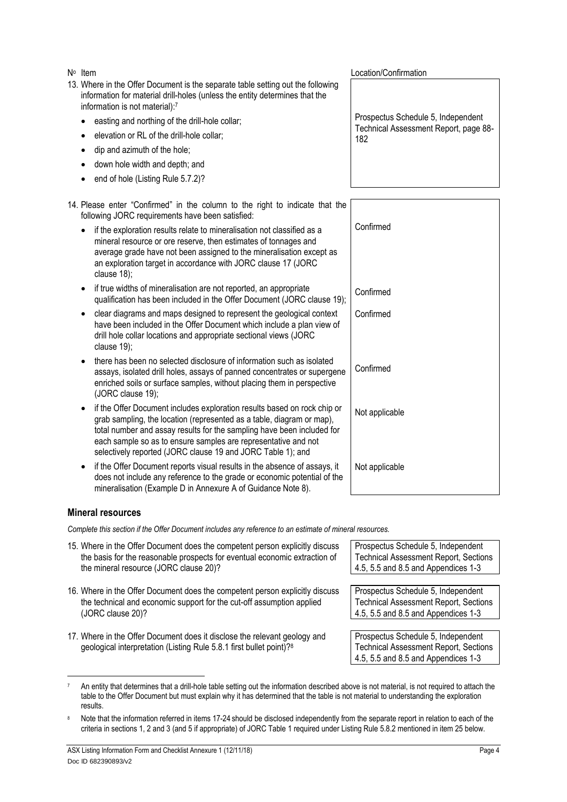N<sub>o</sub> Item

- 13. Where in the Offer Document is the separate table setting out the following information for material drill-holes (unless the entity determines that the information is not material):<sup>7</sup>
	- easting and northing of the drill-hole collar;
	- elevation or RL of the drill-hole collar;
	- dip and azimuth of the hole;
	- down hole width and depth; and
	- end of hole (Listing Rule 5.7.2)?

14. Please enter "Confirmed" in the column to the right to indicate that the following JORC requirements have been satisfied:

- if the exploration results relate to mineralisation not classified as a mineral resource or ore reserve, then estimates of tonnages and average grade have not been assigned to the mineralisation except as an exploration target in accordance with JORC clause 17 (JORC clause 18);
- if true widths of mineralisation are not reported, an appropriate qualification has been included in the Offer Document (JORC clause 19)
- clear diagrams and maps designed to represent the geological context have been included in the Offer Document which include a plan view of drill hole collar locations and appropriate sectional views (JORC clause 19);
- there has been no selected disclosure of information such as isolated assays, isolated drill holes, assays of panned concentrates or supergent enriched soils or surface samples, without placing them in perspective (JORC clause 19);
- if the Offer Document includes exploration results based on rock chip or grab sampling, the location (represented as a table, diagram or map), total number and assay results for the sampling have been included for each sample so as to ensure samples are representative and not selectively reported (JORC clause 19 and JORC Table 1); and
- if the Offer Document reports visual results in the absence of assays, it does not include any reference to the grade or economic potential of the mineralisation (Example D in Annexure A of Guidance Note 8).

### **Mineral resources**

*Complete this section if the Offer Document includes any reference to an estimate of mineral resources.*

|  | 15. Where in the Offer Document does the competent person explicitly discuss<br>the basis for the reasonable prospects for eventual economic extraction of<br>the mineral resource (JORC clause 20)? | Prospectus Schedule 5, Independent<br><b>Technical Assessment Report, Sections</b><br>4.5, 5.5 and 8.5 and Appendices 1-3 |
|--|------------------------------------------------------------------------------------------------------------------------------------------------------------------------------------------------------|---------------------------------------------------------------------------------------------------------------------------|
|  |                                                                                                                                                                                                      |                                                                                                                           |
|  | 16. Where in the Offer Document does the competent person explicitly discuss                                                                                                                         | Prospectus Schedule 5, Independent                                                                                        |
|  | the technical and economic support for the cut-off assumption applied                                                                                                                                | <b>Technical Assessment Report, Sections</b>                                                                              |
|  | (JORC clause 20)?                                                                                                                                                                                    | 4.5, 5.5 and 8.5 and Appendices 1-3                                                                                       |
|  |                                                                                                                                                                                                      |                                                                                                                           |
|  | 17. Where in the Offer Document does it disclose the relevant geology and                                                                                                                            | Prospectus Schedule 5, Independent                                                                                        |
|  | geological interpretation (Listing Rule 5.8.1 first bullet point)? <sup>8</sup>                                                                                                                      | <b>Technical Assessment Report, Sections</b>                                                                              |
|  |                                                                                                                                                                                                      | 4.5, 5.5 and 8.5 and Appendices 1-3                                                                                       |

<span id="page-23-0"></span>l <sup>7</sup> An entity that determines that a drill-hole table setting out the information described above is not material, is not required to attach the table to the Offer Document but must explain why it has determined that the table is not material to understanding the exploration results.

Note that the information referred in items [17-](#page-23-0)[24](#page-24-0) should be disclosed independently from the separate report in relation to each of the criteria in sections 1, 2 and 3 (and 5 if appropriate) of JORC Table 1 required under Listing Rule 5.8.2 mentioned in item [25](#page-24-1) below.

Location/Confirmation

Prospectus Schedule 5, Independent Technical Assessment Report, page 88- 182

| ٦e                   |                |  |
|----------------------|----------------|--|
|                      | Confirmed      |  |
|                      |                |  |
|                      |                |  |
|                      | Confirmed      |  |
| ));                  |                |  |
| $\ddot{\phantom{0}}$ | Confirmed      |  |
|                      |                |  |
|                      |                |  |
| ۱e                   | Confirmed      |  |
|                      |                |  |
| r                    | Not applicable |  |
| ı                    |                |  |
|                      |                |  |
|                      | Not applicable |  |
| e                    |                |  |
|                      |                |  |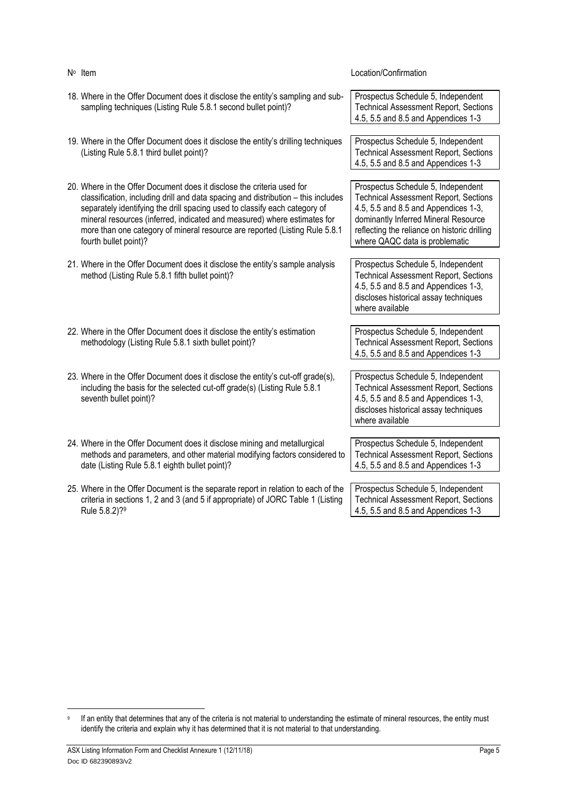| N <sup>o</sup> Item                                                                                                                                                                                                                                                                                                                                                                                                           | Location/Confirmation                                                                                                                                                                                                                                |
|-------------------------------------------------------------------------------------------------------------------------------------------------------------------------------------------------------------------------------------------------------------------------------------------------------------------------------------------------------------------------------------------------------------------------------|------------------------------------------------------------------------------------------------------------------------------------------------------------------------------------------------------------------------------------------------------|
| 18. Where in the Offer Document does it disclose the entity's sampling and sub-<br>sampling techniques (Listing Rule 5.8.1 second bullet point)?                                                                                                                                                                                                                                                                              | Prospectus Schedule 5, Independent<br><b>Technical Assessment Report, Sections</b><br>4.5, 5.5 and 8.5 and Appendices 1-3                                                                                                                            |
| 19. Where in the Offer Document does it disclose the entity's drilling techniques<br>(Listing Rule 5.8.1 third bullet point)?                                                                                                                                                                                                                                                                                                 | Prospectus Schedule 5, Independent<br><b>Technical Assessment Report, Sections</b><br>4.5, 5.5 and 8.5 and Appendices 1-3                                                                                                                            |
| 20. Where in the Offer Document does it disclose the criteria used for<br>classification, including drill and data spacing and distribution - this includes<br>separately identifying the drill spacing used to classify each category of<br>mineral resources (inferred, indicated and measured) where estimates for<br>more than one category of mineral resource are reported (Listing Rule 5.8.1<br>fourth bullet point)? | Prospectus Schedule 5, Independent<br><b>Technical Assessment Report, Sections</b><br>4.5, 5.5 and 8.5 and Appendices 1-3,<br>dominantly Inferred Mineral Resource<br>reflecting the reliance on historic drilling<br>where QAQC data is problematic |
| 21. Where in the Offer Document does it disclose the entity's sample analysis<br>method (Listing Rule 5.8.1 fifth bullet point)?                                                                                                                                                                                                                                                                                              | Prospectus Schedule 5, Independent<br><b>Technical Assessment Report, Sections</b><br>4.5, 5.5 and 8.5 and Appendices 1-3,<br>discloses historical assay techniques<br>where available                                                               |
| 22. Where in the Offer Document does it disclose the entity's estimation<br>methodology (Listing Rule 5.8.1 sixth bullet point)?                                                                                                                                                                                                                                                                                              | Prospectus Schedule 5, Independent<br><b>Technical Assessment Report, Sections</b><br>4.5, 5.5 and 8.5 and Appendices 1-3                                                                                                                            |
| 23. Where in the Offer Document does it disclose the entity's cut-off grade(s),<br>including the basis for the selected cut-off grade(s) (Listing Rule 5.8.1<br>seventh bullet point)?                                                                                                                                                                                                                                        | Prospectus Schedule 5, Independent<br><b>Technical Assessment Report, Sections</b><br>4.5, 5.5 and 8.5 and Appendices 1-3,<br>discloses historical assay techniques<br>where available                                                               |
| 24. Where in the Offer Document does it disclose mining and metallurgical<br>methods and parameters, and other material modifying factors considered to<br>date (Listing Rule 5.8.1 eighth bullet point)?                                                                                                                                                                                                                     | Prospectus Schedule 5, Independent<br><b>Technical Assessment Report, Sections</b><br>4.5, 5.5 and 8.5 and Appendices 1-3                                                                                                                            |
| 25. Where in the Offer Document is the separate report in relation to each of the<br>criteria in sections 1, 2 and 3 (and 5 if appropriate) of JORC Table 1 (Listing<br>Rule 5.8.2)? <sup>9</sup>                                                                                                                                                                                                                             | Prospectus Schedule 5, Independent<br><b>Technical Assessment Report, Sections</b><br>4.5, 5.5 and 8.5 and Appendices 1-3                                                                                                                            |

<span id="page-24-1"></span><span id="page-24-0"></span>l

<sup>9</sup> If an entity that determines that any of the criteria is not material to understanding the estimate of mineral resources, the entity must identify the criteria and explain why it has determined that it is not material to that understanding.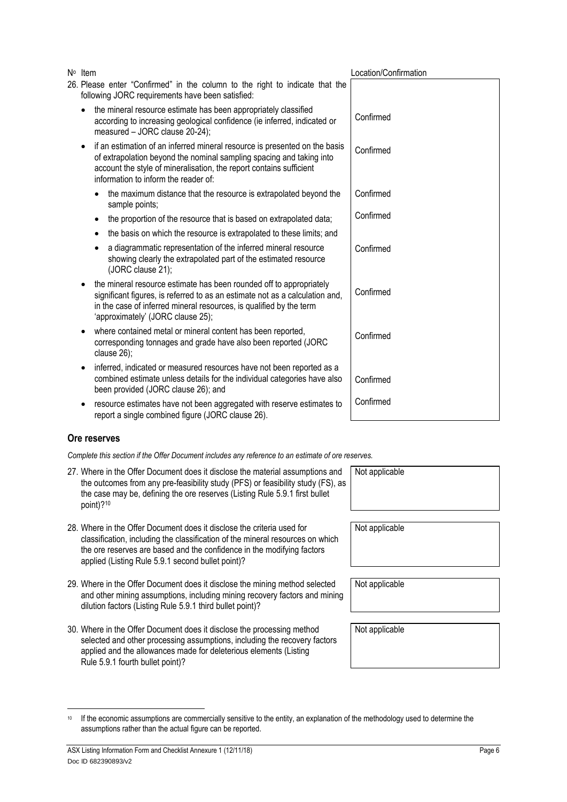| $N°$ Item                                                                                                                                                                                                                                                              | Location/Confirmation |
|------------------------------------------------------------------------------------------------------------------------------------------------------------------------------------------------------------------------------------------------------------------------|-----------------------|
| 26. Please enter "Confirmed" in the column to the right to indicate that the<br>following JORC requirements have been satisfied:                                                                                                                                       |                       |
| the mineral resource estimate has been appropriately classified<br>according to increasing geological confidence (ie inferred, indicated or<br>measured - JORC clause 20-24);                                                                                          | Confirmed             |
| if an estimation of an inferred mineral resource is presented on the basis<br>٠<br>of extrapolation beyond the nominal sampling spacing and taking into<br>account the style of mineralisation, the report contains sufficient<br>information to inform the reader of: | Confirmed             |
| the maximum distance that the resource is extrapolated beyond the<br>sample points;                                                                                                                                                                                    | Confirmed             |
| the proportion of the resource that is based on extrapolated data;                                                                                                                                                                                                     | Confirmed             |
| the basis on which the resource is extrapolated to these limits; and                                                                                                                                                                                                   |                       |
| a diagrammatic representation of the inferred mineral resource<br>$\bullet$<br>showing clearly the extrapolated part of the estimated resource<br>(JORC clause 21);                                                                                                    | Confirmed             |
| the mineral resource estimate has been rounded off to appropriately<br>significant figures, is referred to as an estimate not as a calculation and,<br>in the case of inferred mineral resources, is qualified by the term<br>'approximately' (JORC clause 25);        | Confirmed             |
| where contained metal or mineral content has been reported,<br>$\bullet$<br>corresponding tonnages and grade have also been reported (JORC<br>clause $26$ ;                                                                                                            | Confirmed             |
| inferred, indicated or measured resources have not been reported as a<br>٠<br>combined estimate unless details for the individual categories have also<br>been provided (JORC clause 26); and                                                                          | Confirmed             |
| resource estimates have not been aggregated with reserve estimates to<br>$\bullet$<br>report a single combined figure (JORC clause 26).                                                                                                                                | Confirmed             |

### **Ore reserves**

l

*Complete this section if the Offer Document includes any reference to an estimate of ore reserves.*

- 27. Where in the Offer Document does it disclose the material assumptions and the outcomes from any pre-feasibility study (PFS) or feasibility study (FS), as the case may be, defining the ore reserves (Listing Rule 5.9.1 first bullet point)?<sup>10</sup> Not applicable 28. Where in the Offer Document does it disclose the criteria used for Not applicable
- classification, including the classification of the mineral resources on which the ore reserves are based and the confidence in the modifying factors applied (Listing Rule 5.9.1 second bullet point)?
- 29. Where in the Offer Document does it disclose the mining method selected and other mining assumptions, including mining recovery factors and mining dilution factors (Listing Rule 5.9.1 third bullet point)?
- 30. Where in the Offer Document does it disclose the processing method selected and other processing assumptions, including the recovery factors applied and the allowances made for deleterious elements (Listing Rule 5.9.1 fourth bullet point)?

Not applicable

Not applicable

<sup>&</sup>lt;sup>10</sup> If the economic assumptions are commercially sensitive to the entity, an explanation of the methodology used to determine the assumptions rather than the actual figure can be reported.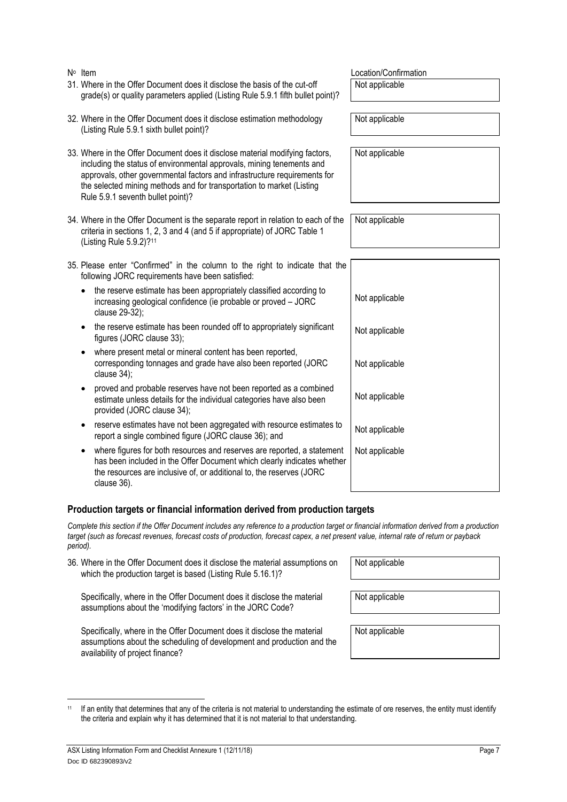availability of project finance?

N<sub>o</sub> Item

- 31. Where in the Offer Document does it disclose the basis of the cut-off grade(s) or quality parameters applied (Listing Rule 5.9.1 fifth bullet point)?
- 32. Where in the Offer Document does it disclose estimation methodology (Listing Rule 5.9.1 sixth bullet point)?
- 33. Where in the Offer Document does it disclose material modifying factors, including the status of environmental approvals, mining tenements and approvals, other governmental factors and infrastructure requirements for the selected mining methods and for transportation to market (Listing Rule 5.9.1 seventh bullet point)?
- 34. Where in the Offer Document is the separate report in relation to each of the criteria in sections 1, 2, 3 and 4 (and 5 if appropriate) of JORC Table 1 (Listing Rule 5.9.2)?<sup>11</sup>
- 35. Please enter "Confirmed" in the column to the right to indicate that the following JORC requirements have been satisfied:
	- the reserve estimate has been appropriately classified according to increasing geological confidence (ie probable or proved – JORC clause 29-32);
	- the reserve estimate has been rounded off to appropriately significant figures (JORC clause 33);
	- where present metal or mineral content has been reported, corresponding tonnages and grade have also been reported (JORC clause 34);
	- proved and probable reserves have not been reported as a combined estimate unless details for the individual categories have also been provided (JORC clause 34);
	- reserve estimates have not been aggregated with resource estimates to report a single combined figure (JORC clause 36); and
	- where figures for both resources and reserves are reported, a statement has been included in the Offer Document which clearly indicates whether the resources are inclusive of, or additional to, the reserves (JORC clause 36).

### **Production targets or financial information derived from production targets**

*Complete this section if the Offer Document includes any reference to a production target or financial information derived from a production target (such as forecast revenues, forecast costs of production, forecast capex, a net present value, internal rate of return or payback period).*

36. Where in the Offer Document does it disclose the material assumptions on which the production target is based (Listing Rule 5.16.1)?

Specifically, where in the Offer Document does it disclose the material assumptions about the 'modifying factors' in the JORC Code?

Specifically, where in the Offer Document does it disclose the material assumptions about the scheduling of development and production and the

the criteria and explain why it has determined that it is not material to that understanding.

Location/Confirmation Not applicable

Not applicable

Not applicable

Not applicable

Not applicable Not applicable Not applicable Not applicable Not applicable Not applicable

Not applicable

Not applicable

Not applicable

If an entity that determines that any of the criteria is not material to understanding the estimate of ore reserves, the entity must identify

 $\overline{a}$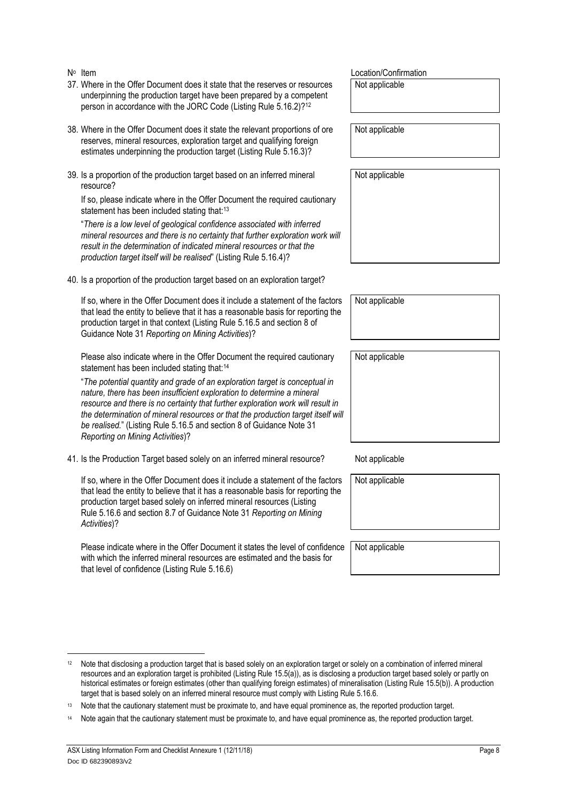- N<sub>o</sub> Item
- 37. Where in the Offer Document does it state that the reserves or resources underpinning the production target have been prepared by a competent person in accordance with the JORC Code (Listing Rule 5.16.2)?<sup>12</sup>
- 38. Where in the Offer Document does it state the relevant proportions of ore reserves, mineral resources, exploration target and qualifying foreign estimates underpinning the production target (Listing Rule 5.16.3)?
- 39. Is a proportion of the production target based on an inferred mineral resource?

If so, please indicate where in the Offer Document the required cautionary statement has been included stating that:<sup>13</sup>

"*There is a low level of geological confidence associated with inferred mineral resources and there is no certainty that further exploration work will result in the determination of indicated mineral resources or that the production target itself will be realised*" (Listing Rule 5.16.4)?

40. Is a proportion of the production target based on an exploration target?

If so, where in the Offer Document does it include a statement of the factors that lead the entity to believe that it has a reasonable basis for reporting the production target in that context (Listing Rule 5.16.5 and section 8 of Guidance Note 31 *Reporting on Mining Activities*)?

Please also indicate where in the Offer Document the required cautionary statement has been included stating that:<sup>14</sup>

"*The potential quantity and grade of an exploration target is conceptual in nature, there has been insufficient exploration to determine a mineral resource and there is no certainty that further exploration work will result in the determination of mineral resources or that the production target itself will be realised.*" (Listing Rule 5.16.5 and section 8 of Guidance Note 31 *Reporting on Mining Activities*)?

41. Is the Production Target based solely on an inferred mineral resource? Not applicable

If so, where in the Offer Document does it include a statement of the factors that lead the entity to believe that it has a reasonable basis for reporting the production target based solely on inferred mineral resources (Listing Rule 5.16.6 and section 8.7 of Guidance Note 31 *Reporting on Mining Activities*)?

Please indicate where in the Offer Document it states the level of confidence with which the inferred mineral resources are estimated and the basis for that level of confidence (Listing Rule 5.16.6)

Location/Confirmation

Not applicable

Not applicable

Not applicable

Not applicable

Not applicable

Not applicable

Not applicable

l

Note that disclosing a production target that is based solely on an exploration target or solely on a combination of inferred mineral resources and an exploration target is prohibited (Listing Rule 15.5(a)), as is disclosing a production target based solely or partly on historical estimates or foreign estimates (other than qualifying foreign estimates) of mineralisation (Listing Rule 15.5(b)). A production target that is based solely on an inferred mineral resource must comply with Listing Rule 5.16.6.

<sup>&</sup>lt;sup>13</sup> Note that the cautionary statement must be proximate to, and have equal prominence as, the reported production target.

<sup>14</sup> Note again that the cautionary statement must be proximate to, and have equal prominence as, the reported production target.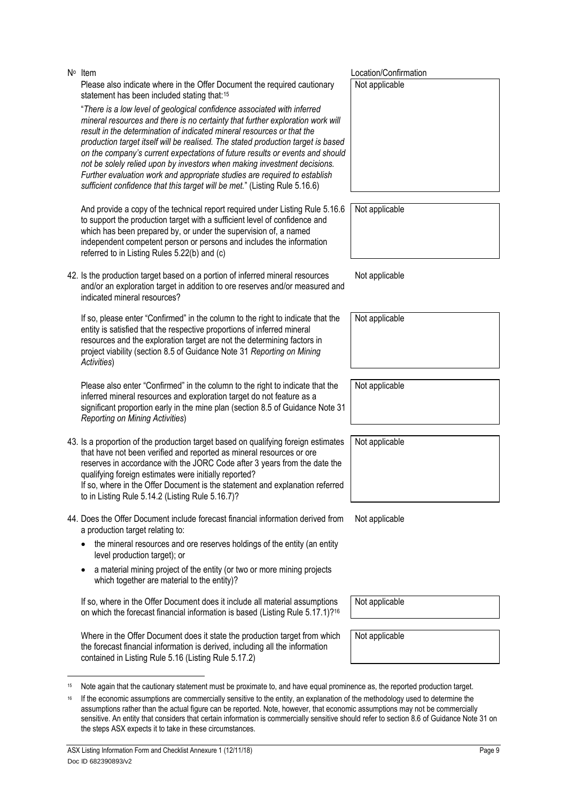| N <sup>o</sup> Item                                                                                                                                                                                                                                                                                                                                                                                                                  | Location/Confirmation |
|--------------------------------------------------------------------------------------------------------------------------------------------------------------------------------------------------------------------------------------------------------------------------------------------------------------------------------------------------------------------------------------------------------------------------------------|-----------------------|
| Please also indicate where in the Offer Document the required cautionary<br>statement has been included stating that: <sup>15</sup>                                                                                                                                                                                                                                                                                                  | Not applicable        |
| "There is a low level of geological confidence associated with inferred<br>mineral resources and there is no certainty that further exploration work will<br>result in the determination of indicated mineral resources or that the                                                                                                                                                                                                  |                       |
| production target itself will be realised. The stated production target is based<br>on the company's current expectations of future results or events and should<br>not be solely relied upon by investors when making investment decisions.<br>Further evaluation work and appropriate studies are required to establish<br>sufficient confidence that this target will be met." (Listing Rule 5.16.6)                              |                       |
| And provide a copy of the technical report required under Listing Rule 5.16.6<br>to support the production target with a sufficient level of confidence and<br>which has been prepared by, or under the supervision of, a named<br>independent competent person or persons and includes the information<br>referred to in Listing Rules 5.22(b) and (c)                                                                              | Not applicable        |
| 42. Is the production target based on a portion of inferred mineral resources<br>and/or an exploration target in addition to ore reserves and/or measured and<br>indicated mineral resources?                                                                                                                                                                                                                                        | Not applicable        |
| If so, please enter "Confirmed" in the column to the right to indicate that the<br>entity is satisfied that the respective proportions of inferred mineral<br>resources and the exploration target are not the determining factors in<br>project viability (section 8.5 of Guidance Note 31 Reporting on Mining<br>Activities)                                                                                                       | Not applicable        |
| Please also enter "Confirmed" in the column to the right to indicate that the<br>inferred mineral resources and exploration target do not feature as a<br>significant proportion early in the mine plan (section 8.5 of Guidance Note 31<br>Reporting on Mining Activities)                                                                                                                                                          | Not applicable        |
| 43. Is a proportion of the production target based on qualifying foreign estimates<br>that have not been verified and reported as mineral resources or ore<br>reserves in accordance with the JORC Code after 3 years from the date the<br>qualifying foreign estimates were initially reported?<br>If so, where in the Offer Document is the statement and explanation referred<br>to in Listing Rule 5.14.2 (Listing Rule 5.16.7)? | Not applicable        |
| 44. Does the Offer Document include forecast financial information derived from<br>a production target relating to:                                                                                                                                                                                                                                                                                                                  | Not applicable        |
| the mineral resources and ore reserves holdings of the entity (an entity<br>level production target); or                                                                                                                                                                                                                                                                                                                             |                       |
| a material mining project of the entity (or two or more mining projects<br>which together are material to the entity)?                                                                                                                                                                                                                                                                                                               |                       |
| If so, where in the Offer Document does it include all material assumptions<br>on which the forecast financial information is based (Listing Rule 5.17.1)? <sup>16</sup>                                                                                                                                                                                                                                                             | Not applicable        |
| Where in the Offer Document does it state the production target from which<br>the forecast financial information is derived, including all the information<br>contained in Listing Rule 5.16 (Listing Rule 5.17.2)                                                                                                                                                                                                                   | Not applicable        |

l

<sup>15</sup> Note again that the cautionary statement must be proximate to, and have equal prominence as, the reported production target.

<sup>16</sup> If the economic assumptions are commercially sensitive to the entity, an explanation of the methodology used to determine the assumptions rather than the actual figure can be reported. Note, however, that economic assumptions may not be commercially sensitive. An entity that considers that certain information is commercially sensitive should refer to section 8.6 of Guidance Note 31 on the steps ASX expects it to take in these circumstances.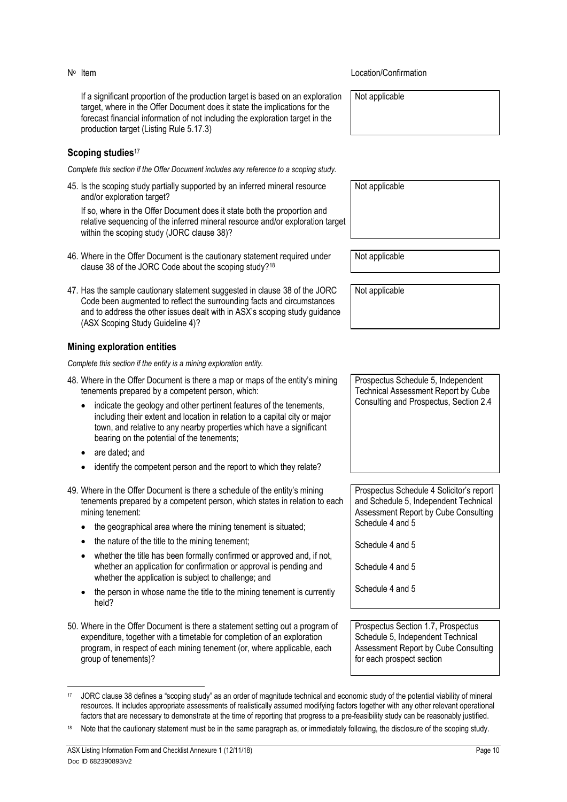If a significant proportion of the production target is based on an exploration target, where in the Offer Document does it state the implications for the forecast financial information of not including the exploration target in the production target (Listing Rule 5.17.3)

### Scoping studies<sup>17</sup>

*Complete this section if the Offer Document includes any reference to a scoping study.*

45. Is the scoping study partially supported by an inferred mineral resource and/or exploration target?

If so, where in the Offer Document does it state both the proportion and relative sequencing of the inferred mineral resource and/or exploration target within the scoping study (JORC clause 38)?

- 46. Where in the Offer Document is the cautionary statement required under clause 38 of the JORC Code about the scoping study?<sup>18</sup>
- 47. Has the sample cautionary statement suggested in clause 38 of the JORC Code been augmented to reflect the surrounding facts and circumstances and to address the other issues dealt with in ASX's scoping study guidance (ASX Scoping Study Guideline 4)?

### **Mining exploration entities**

*Complete this section if the entity is a mining exploration entity.*

- 48. Where in the Offer Document is there a map or maps of the entity's mining tenements prepared by a competent person, which:
	- indicate the geology and other pertinent features of the tenements, including their extent and location in relation to a capital city or major town, and relative to any nearby properties which have a significant bearing on the potential of the tenements;
	- are dated; and

l

- identify the competent person and the report to which they relate?
- 49. Where in the Offer Document is there a schedule of the entity's mining tenements prepared by a competent person, which states in relation to each mining tenement:
	- the geographical area where the mining tenement is situated;
	- the nature of the title to the mining tenement;
	- whether the title has been formally confirmed or approved and, if not, whether an application for confirmation or approval is pending and whether the application is subject to challenge; and
	- the person in whose name the title to the mining tenement is currently held?
- 50. Where in the Offer Document is there a statement setting out a program of expenditure, together with a timetable for completion of an exploration program, in respect of each mining tenement (or, where applicable, each group of tenements)?

Location/Confirmation

Not applicable

Not applicable

Not applicable

Not applicable

Prospectus Schedule 5, Independent Technical Assessment Report by Cube Consulting and Prospectus, Section 2.4

Prospectus Schedule 4 Solicitor's report and Schedule 5, Independent Technical Assessment Report by Cube Consulting Schedule 4 and 5

Schedule 4 and 5

Schedule 4 and 5

Schedule 4 and 5

Prospectus Section 1.7, Prospectus Schedule 5, Independent Technical Assessment Report by Cube Consulting for each prospect section

<sup>17</sup> JORC clause 38 defines a "scoping study" as an order of magnitude technical and economic study of the potential viability of mineral resources. It includes appropriate assessments of realistically assumed modifying factors together with any other relevant operational factors that are necessary to demonstrate at the time of reporting that progress to a pre-feasibility study can be reasonably justified.

Note that the cautionary statement must be in the same paragraph as, or immediately following, the disclosure of the scoping study.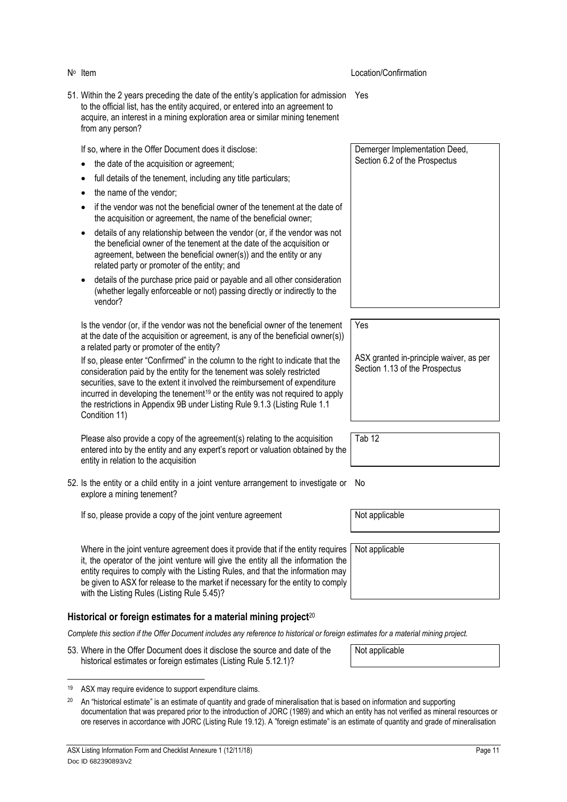19 ASX may require evidence to support expenditure claims.

l

N<sup>o</sup> Item

51. Within the 2 years preceding the date of the entity's application for admission Yes to the official list, has the entity acquired, or entered into an agreement to acquire, an interest in a mining exploration area or similar mining tenement from any person?

If so, where in the Offer Document does it disclose:

- the date of the acquisition or agreement;
- full details of the tenement, including any title particulars;
- the name of the vendor;
- if the vendor was not the beneficial owner of the tenement at the date of the acquisition or agreement, the name of the beneficial owner;
- details of any relationship between the vendor (or, if the vendor was not the beneficial owner of the tenement at the date of the acquisition or agreement, between the beneficial owner(s)) and the entity or any related party or promoter of the entity; and
- details of the purchase price paid or payable and all other consideration (whether legally enforceable or not) passing directly or indirectly to the vendor?

Is the vendor (or, if the vendor was not the beneficial owner of the tenement at the date of the acquisition or agreement, is any of the beneficial owner(s)) a related party or promoter of the entity?

If so, please enter "Confirmed" in the column to the right to indicate that the consideration paid by the entity for the tenement was solely restricted securities, save to the extent it involved the reimbursement of expenditure incurred in developing the tenement<sup>19</sup> or the entity was not required to apply the restrictions in Appendix 9B under Listing Rule 9.1.3 (Listing Rule 1.1 Condition 11)

Please also provide a copy of the agreement(s) relating to the acquisition entered into by the entity and any expert's report or valuation obtained by the entity in relation to the acquisition

52. Is the entity or a child entity in a joint venture arrangement to investigate or No explore a mining tenement?

If so, please provide a copy of the joint venture agreement  $\vert$  Not applicable

Where in the joint venture agreement does it provide that if the entity requires it, the operator of the joint venture will give the entity all the information the entity requires to comply with the Listing Rules, and that the information may be given to ASX for release to the market if necessary for the entity to comply with the Listing Rules (Listing Rule 5.45)?

### **Historical or foreign estimates for a material mining project**<sup>20</sup>

*Complete this section if the Offer Document includes any reference to historical or foreign estimates for a material mining project.*

<sup>20</sup> An "historical estimate" is an estimate of quantity and grade of mineralisation that is based on information and supporting

documentation that was prepared prior to the introduction of JORC (1989) and which an entity has not verified as mineral resources or ore reserves in accordance with JORC (Listing Rule 19.12). A "foreign estimate" is an estimate of quantity and grade of mineralisation

53. Where in the Offer Document does it disclose the source and date of the historical estimates or foreign estimates (Listing Rule 5.12.1)?

Location/Confirmation

Demerger Implementation Deed, Section 6.2 of the Prospectus

ASX granted in-principle waiver, as per Section 1.13 of the Prospectus

Tab 12

Not applicable

Yes

Not applicable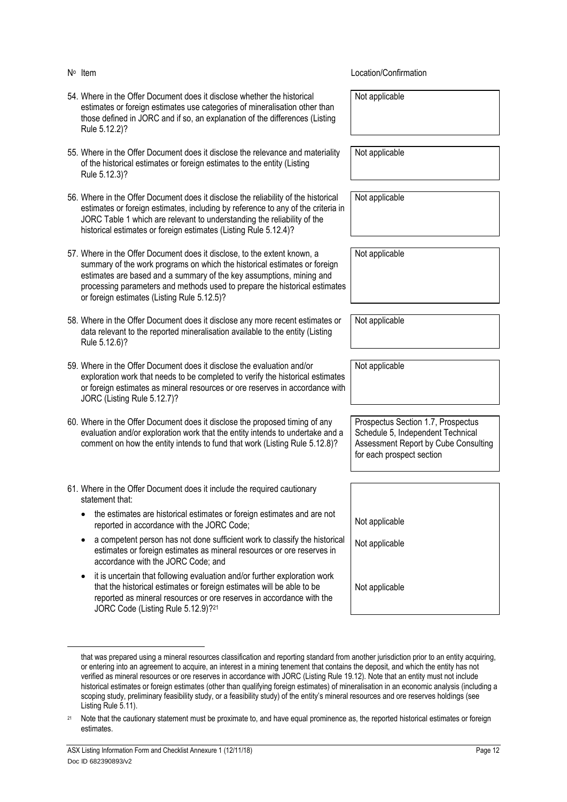### N<sup>o</sup> Item

- 54. Where in the Offer Document does it disclose whether the historical estimates or foreign estimates use categories of mineralisation other than those defined in JORC and if so, an explanation of the differences (Listing Rule 5.12.2)?
- 55. Where in the Offer Document does it disclose the relevance and materiality of the historical estimates or foreign estimates to the entity (Listing Rule 5.12.3)?
- 56. Where in the Offer Document does it disclose the reliability of the historical estimates or foreign estimates, including by reference to any of the criteria in JORC Table 1 which are relevant to understanding the reliability of the historical estimates or foreign estimates (Listing Rule 5.12.4)?
- 57. Where in the Offer Document does it disclose, to the extent known, a summary of the work programs on which the historical estimates or foreign estimates are based and a summary of the key assumptions, mining and processing parameters and methods used to prepare the historical estimates or foreign estimates (Listing Rule 5.12.5)?
- 58. Where in the Offer Document does it disclose any more recent estimates or data relevant to the reported mineralisation available to the entity (Listing Rule 5.12.6)?
- 59. Where in the Offer Document does it disclose the evaluation and/or exploration work that needs to be completed to verify the historical estimates or foreign estimates as mineral resources or ore reserves in accordance with JORC (Listing Rule 5.12.7)?
- 60. Where in the Offer Document does it disclose the proposed timing of any evaluation and/or exploration work that the entity intends to undertake and a comment on how the entity intends to fund that work (Listing Rule 5.12.8)?
- 61. Where in the Offer Document does it include the required cautionary statement that:
	- the estimates are historical estimates or foreign estimates and are not reported in accordance with the JORC Code;
	- a competent person has not done sufficient work to classify the historical estimates or foreign estimates as mineral resources or ore reserves in accordance with the JORC Code; and
	- it is uncertain that following evaluation and/or further exploration work that the historical estimates or foreign estimates will be able to be reported as mineral resources or ore reserves in accordance with the JORC Code (Listing Rule 5.12.9)?<sup>21</sup>

### Location/Confirmation

Not applicable

Not applicable

Not applicable

Not applicable

Not applicable

Not applicable

Prospectus Section 1.7, Prospectus Schedule 5, Independent Technical Assessment Report by Cube Consulting for each prospect section

Not applicable

Not applicable

Not applicable

 $\overline{a}$ 

that was prepared using a mineral resources classification and reporting standard from another jurisdiction prior to an entity acquiring, or entering into an agreement to acquire, an interest in a mining tenement that contains the deposit, and which the entity has not verified as mineral resources or ore reserves in accordance with JORC (Listing Rule 19.12). Note that an entity must not include historical estimates or foreign estimates (other than qualifying foreign estimates) of mineralisation in an economic analysis (including a scoping study, preliminary feasibility study, or a feasibility study) of the entity's mineral resources and ore reserves holdings (see Listing Rule 5.11).

<sup>&</sup>lt;sup>21</sup> Note that the cautionary statement must be proximate to, and have equal prominence as, the reported historical estimates or foreign estimates.